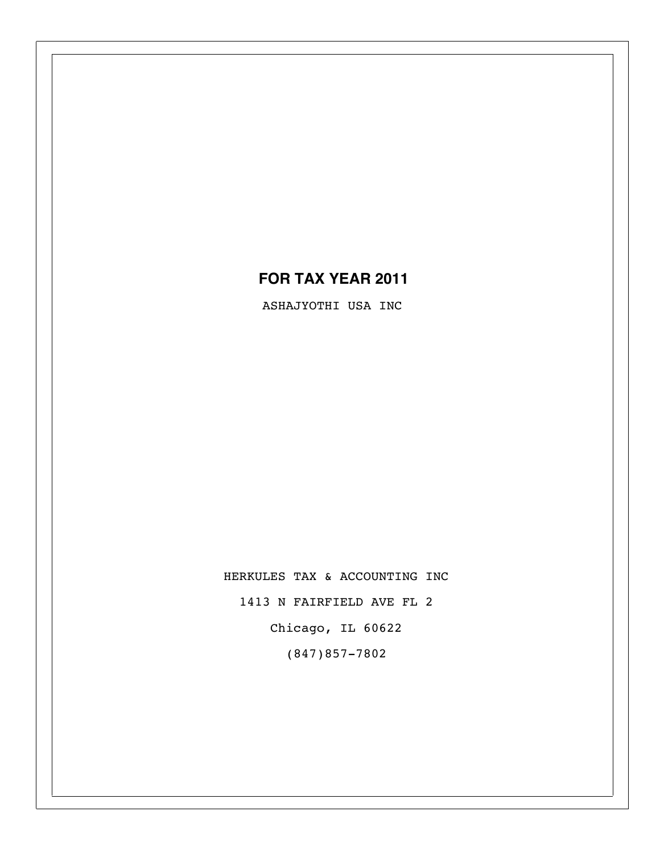## **FOR TAX YEAR 2011**

ASHAJYOTHI USA INC

HERKULES TAX & ACCOUNTING INC 1413 N FAIRFIELD AVE FL 2

Chicago, IL 60622

(847)857-7802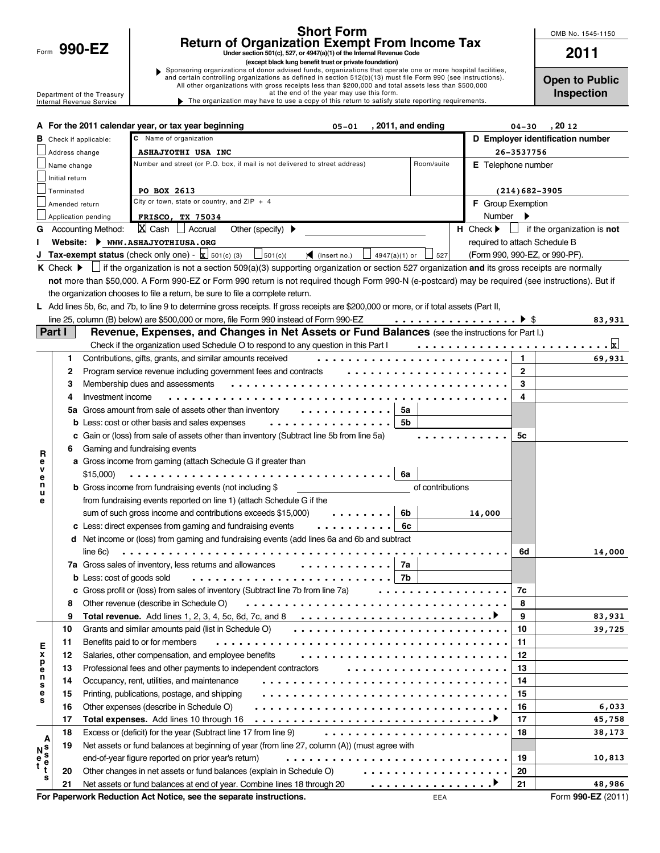Form 990-EZ

**s**

### **Short Form Return of Organization Exempt From Income Tax**

**Under section 501(c), 527, or 4947(a)(1) of the Internal Revenue Code**

**1990-EZ<br>
EXELUITI OF UTGATILZATION EXEMPLI FIOIN INCOTHE TAX**<br>
Under section 501(c), 527, or 4947(a)(1) of the Internal Revenue Code<br>
(except black lung benefit trust or private foundation)<br>and certain controlling organiz Department of the Treasury at the end of the year may use this form.<br>Internal Revenue Service **by the end of the year may have to use a copy of this return to satisfy s** The organization may have to use a copy of this return to satisfy state reporting requirements.

**Open to Public Inspection**

Form **990-EZ** (2011)

**48,986**

|                          |                                                             | A For the 2011 calendar year, or tax year beginning<br>, 2011, and ending<br>$05 - 01$                                                             | $04 - 30$                      | , 20 12                          |  |  |  |  |
|--------------------------|-------------------------------------------------------------|----------------------------------------------------------------------------------------------------------------------------------------------------|--------------------------------|----------------------------------|--|--|--|--|
|                          | C Name of organization<br><b>B</b> Check if applicable:     |                                                                                                                                                    |                                | D Employer identification number |  |  |  |  |
|                          | Address change                                              | ASHAJYOTHI USA INC                                                                                                                                 | 26-3537756                     |                                  |  |  |  |  |
|                          | Name change                                                 | Number and street (or P.O. box, if mail is not delivered to street address)<br>Room/suite                                                          | <b>E</b> Telephone number      |                                  |  |  |  |  |
|                          | Initial return                                              |                                                                                                                                                    |                                |                                  |  |  |  |  |
|                          | Terminated                                                  | PO BOX 2613                                                                                                                                        | $(214)$ 682-3905               |                                  |  |  |  |  |
|                          | Amended return                                              | City or town, state or country, and $ZIP + 4$                                                                                                      | <b>F</b> Group Exemption       |                                  |  |  |  |  |
|                          |                                                             | Application pending<br><b>FRISCO, TX 75034</b>                                                                                                     | Number                         |                                  |  |  |  |  |
| G                        |                                                             | $X$ Cash $\Box$ Accrual<br>$H$ Check $\blacktriangleright$<br><b>Accounting Method:</b><br>Other (specify) $\blacktriangleright$                   | $\mathbf{L}$                   | if the organization is not       |  |  |  |  |
|                          |                                                             | Website: WWW.ASHAJYOTHIUSA.ORG                                                                                                                     | required to attach Schedule B  |                                  |  |  |  |  |
|                          |                                                             | Tax-exempt status (check only one) - $\mathbf{x}$ 501(c) (3)<br>$\bigcup$ 501(c)(<br>$\sqrt{\frac{1}{1}}$ (insert no.)<br>4947(a)(1) or<br>527     | (Form 990, 990-EZ, or 990-PF). |                                  |  |  |  |  |
|                          | $K$ Check $\blacktriangleright$                             | If the organization is not a section 509(a)(3) supporting organization or section 527 organization <b>and</b> its gross receipts are normally      |                                |                                  |  |  |  |  |
|                          |                                                             | not more than \$50,000. A Form 990-EZ or Form 990 return is not required though Form 990-N (e-postcard) may be required (see instructions). But if |                                |                                  |  |  |  |  |
|                          |                                                             | the organization chooses to file a return, be sure to file a complete return.                                                                      |                                |                                  |  |  |  |  |
|                          |                                                             | L Add lines 5b, 6c, and 7b, to line 9 to determine gross receipts. If gross receipts are \$200,000 or more, or if total assets (Part II,           |                                |                                  |  |  |  |  |
|                          |                                                             | line 25, column (B) below) are \$500,000 or more, file Form 990 instead of Form 990-EZ<br>. <b>&gt;</b> \$                                         |                                | 83,931                           |  |  |  |  |
|                          | Part I                                                      | Revenue, Expenses, and Changes in Net Assets or Fund Balances (see the instructions for Part I.)                                                   |                                |                                  |  |  |  |  |
|                          |                                                             | Check if the organization used Schedule O to respond to any question in this Part I                                                                |                                | <u>. xl</u>                      |  |  |  |  |
|                          | 1                                                           | Contributions, gifts, grants, and similar amounts received                                                                                         | $\mathbf{1}$                   | 69,931                           |  |  |  |  |
|                          | 2                                                           | Program service revenue including government fees and contracts                                                                                    | $\mathbf{2}$                   |                                  |  |  |  |  |
|                          | 3                                                           | Membership dues and assessments                                                                                                                    | 3                              |                                  |  |  |  |  |
|                          | 4                                                           | Investment income                                                                                                                                  | 4                              |                                  |  |  |  |  |
|                          | 5a                                                          | Gross amount from sale of assets other than inventory<br>5а                                                                                        |                                |                                  |  |  |  |  |
|                          | 5b<br><b>b</b> Less: cost or other basis and sales expenses |                                                                                                                                                    |                                |                                  |  |  |  |  |
|                          | c                                                           | Gain or (loss) from sale of assets other than inventory (Subtract line 5b from line 5a)                                                            | 5с                             |                                  |  |  |  |  |
| R                        | 6                                                           | Gaming and fundraising events                                                                                                                      |                                |                                  |  |  |  |  |
| e                        |                                                             | a Gross income from gaming (attach Schedule G if greater than                                                                                      |                                |                                  |  |  |  |  |
| v<br>e                   |                                                             | \$15,000)<br>6a<br>.                                                                                                                               |                                |                                  |  |  |  |  |
| n<br>u                   |                                                             | <b>b</b> Gross income from fundraising events (not including \$<br>of contributions                                                                |                                |                                  |  |  |  |  |
| е                        |                                                             | from fundraising events reported on line 1) (attach Schedule G if the                                                                              |                                |                                  |  |  |  |  |
|                          |                                                             | sum of such gross income and contributions exceeds \$15,000)<br>6b                                                                                 | 14,000                         |                                  |  |  |  |  |
|                          |                                                             | c Less: direct expenses from gaming and fundraising events<br>6с                                                                                   |                                |                                  |  |  |  |  |
|                          |                                                             | d Net income or (loss) from gaming and fundraising events (add lines 6a and 6b and subtract                                                        |                                |                                  |  |  |  |  |
|                          |                                                             | line 6c)                                                                                                                                           | 6d                             | 14,000                           |  |  |  |  |
|                          |                                                             | 7a Gross sales of inventory, less returns and allowances<br>7a                                                                                     |                                |                                  |  |  |  |  |
|                          |                                                             | 7b<br><b>b</b> Less: cost of goods sold                                                                                                            |                                |                                  |  |  |  |  |
|                          |                                                             | c Gross profit or (loss) from sales of inventory (Subtract line 7b from line 7a)                                                                   | 7c                             |                                  |  |  |  |  |
|                          | 8                                                           | Other revenue (describe in Schedule O)                                                                                                             | 8                              |                                  |  |  |  |  |
|                          | 9                                                           | Total revenue. Add lines 1, 2, 3, 4, 5c, 6d, 7c, and 8 $\dots \dots \dots \dots \dots \dots \dots \dots \dots$                                     | 9                              | 83,931                           |  |  |  |  |
|                          | 10                                                          | Grants and similar amounts paid (list in Schedule O)                                                                                               | 10                             | 39,725                           |  |  |  |  |
| Е                        | 11                                                          | Benefits paid to or for members                                                                                                                    | 11                             |                                  |  |  |  |  |
| X                        | 12                                                          | Salaries, other compensation, and employee benefits                                                                                                | 12                             |                                  |  |  |  |  |
| p<br>e                   | 13                                                          | Professional fees and other payments to independent contractors                                                                                    | 13                             |                                  |  |  |  |  |
| n<br>s                   | 14                                                          | Occupancy, rent, utilities, and maintenance                                                                                                        | 14                             |                                  |  |  |  |  |
| e<br>s                   | 15                                                          | Printing, publications, postage, and shipping                                                                                                      | 15                             |                                  |  |  |  |  |
|                          | 16                                                          | Other expenses (describe in Schedule O)                                                                                                            | 16                             | 6,033                            |  |  |  |  |
|                          | 17                                                          | Total expenses. Add lines 10 through 16                                                                                                            | 17                             | 45,758                           |  |  |  |  |
| A                        | 18                                                          | Excess or (deficit) for the year (Subtract line 17 from line 9)<br>.                                                                               | 18                             | 38,173                           |  |  |  |  |
|                          | 19                                                          | Net assets or fund balances at beginning of year (from line 27, column (A)) (must agree with                                                       |                                |                                  |  |  |  |  |
| N S<br>e S<br>t e<br>t t |                                                             | end-of-year figure reported on prior year's return)<br>.                                                                                           | 19                             | 10,813                           |  |  |  |  |
|                          | 20                                                          | Other changes in net assets or fund balances (explain in Schedule O) <b>.</b>                                                                      | 20                             |                                  |  |  |  |  |

**21 21** Net assets or fund balances at end of year. Combine lines 18 through 20

EEA

................

**For Paperwork Reduction Act Notice, see the separate instructions.**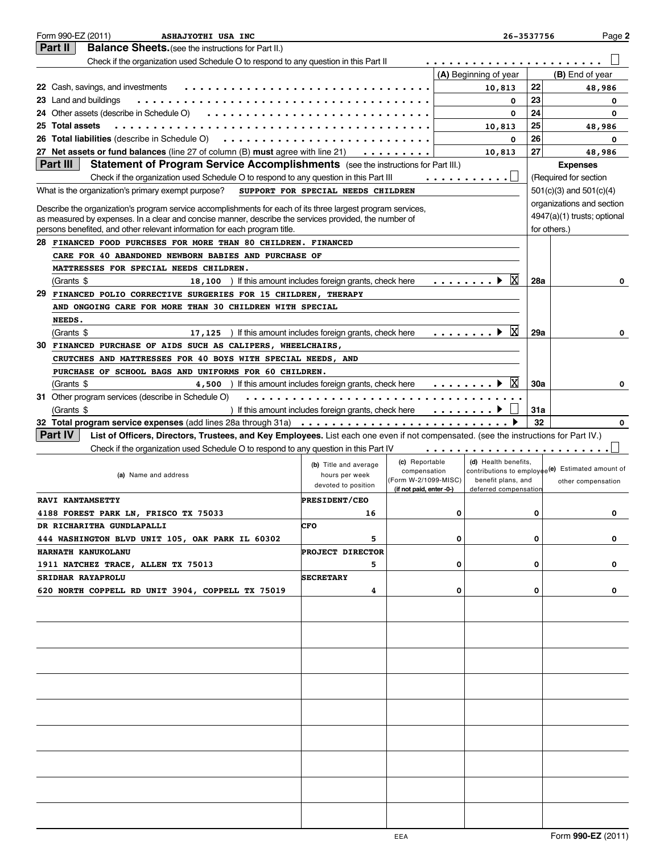| Form 990-EZ (2011)<br>ASHAJYOTHI USA INC                                                                                                                                                                             |                                                      |                          | 26-3537756            |     | Page 2                                                        |
|----------------------------------------------------------------------------------------------------------------------------------------------------------------------------------------------------------------------|------------------------------------------------------|--------------------------|-----------------------|-----|---------------------------------------------------------------|
| Part II<br><b>Balance Sheets.</b> (see the instructions for Part II.)                                                                                                                                                |                                                      |                          |                       |     |                                                               |
| Check if the organization used Schedule O to respond to any question in this Part II                                                                                                                                 |                                                      |                          |                       |     |                                                               |
|                                                                                                                                                                                                                      |                                                      |                          | (A) Beginning of year |     | (B) End of year                                               |
| 22 Cash, savings, and investments                                                                                                                                                                                    |                                                      |                          | 10,813                | 22  | 48,986                                                        |
| 23 Land and buildings                                                                                                                                                                                                |                                                      |                          | 0                     | 23  | 0                                                             |
| 24 Other assets (describe in Schedule O)                                                                                                                                                                             |                                                      |                          | $\mathbf{o}$          | 24  | 0                                                             |
| 25 Total assets                                                                                                                                                                                                      |                                                      |                          | 10,813                | 25  | 48,986                                                        |
| 26 Total liabilities (describe in Schedule O)<br>.                                                                                                                                                                   |                                                      |                          | 0                     | 26  | 0                                                             |
| 27 Net assets or fund balances (line 27 of column (B) must agree with line 21)                                                                                                                                       |                                                      | .                        | 10,813                | 27  | 48,986                                                        |
| Part III<br><b>Statement of Program Service Accomplishments</b> (see the instructions for Part III.)                                                                                                                 |                                                      |                          |                       |     | <b>Expenses</b>                                               |
| Check if the organization used Schedule O to respond to any question in this Part III                                                                                                                                |                                                      |                          | . <u> </u>            |     | (Required for section                                         |
| What is the organization's primary exempt purpose?                                                                                                                                                                   | SUPPORT FOR SPECIAL NEEDS CHILDREN                   |                          |                       |     | $501(c)(3)$ and $501(c)(4)$                                   |
|                                                                                                                                                                                                                      |                                                      |                          |                       |     | organizations and section                                     |
| Describe the organization's program service accomplishments for each of its three largest program services,<br>as measured by expenses. In a clear and concise manner, describe the services provided, the number of |                                                      |                          |                       |     | 4947(a)(1) trusts; optional                                   |
| persons benefited, and other relevant information for each program title.                                                                                                                                            |                                                      |                          |                       |     | for others.)                                                  |
| 28 FINANCED FOOD PURCHSES FOR MORE THAN 80 CHILDREN. FINANCED                                                                                                                                                        |                                                      |                          |                       |     |                                                               |
| CARE FOR 40 ABANDONED NEWBORN BABIES AND PURCHASE OF                                                                                                                                                                 |                                                      |                          |                       |     |                                                               |
| MATTRESSES FOR SPECIAL NEEDS CHILDREN.                                                                                                                                                                               |                                                      |                          |                       |     |                                                               |
| (Grants \$<br>18, 100 ) If this amount includes foreign grants, check here                                                                                                                                           |                                                      |                          | ΙX<br>. <b>.</b> 1    | 28a | 0                                                             |
| 29<br>FINANCED POLIO CORRECTIVE SURGERIES FOR 15 CHILDREN, THERAPY                                                                                                                                                   |                                                      |                          |                       |     |                                                               |
| AND ONGOING CARE FOR MORE THAN 30 CHILDREN WITH SPECIAL                                                                                                                                                              |                                                      |                          |                       |     |                                                               |
| NEEDS.                                                                                                                                                                                                               |                                                      |                          |                       |     |                                                               |
| 17, 125 ) If this amount includes foreign grants, check here<br>(Grants \$                                                                                                                                           |                                                      |                          | ΙX<br>. <b>)</b>      | 29a | 0                                                             |
| 30<br>FINANCED PURCHASE OF AIDS SUCH AS CALIPERS, WHEELCHAIRS,                                                                                                                                                       |                                                      |                          |                       |     |                                                               |
| CRUTCHES AND MATTRESSES FOR 40 BOYS WITH SPECIAL NEEDS, AND                                                                                                                                                          |                                                      |                          |                       |     |                                                               |
| PURCHASE OF SCHOOL BAGS AND UNIFORMS FOR 60 CHILDREN.                                                                                                                                                                |                                                      |                          |                       |     |                                                               |
| 4,500 ) If this amount includes foreign grants, check here<br>(Grants \$                                                                                                                                             |                                                      |                          | .                     | 30a | O                                                             |
| 31 Other program services (describe in Schedule O)                                                                                                                                                                   |                                                      |                          |                       |     |                                                               |
| (Grants \$                                                                                                                                                                                                           | ) If this amount includes foreign grants, check here |                          |                       | 31a |                                                               |
| 32 Total program service expenses (add lines 28a through 31a)                                                                                                                                                        |                                                      |                          |                       | 32  | $\Omega$                                                      |
| <b>Part IV</b><br>List of Officers, Directors, Trustees, and Key Employees. List each one even if not compensated. (see the instructions for Part IV.)                                                               |                                                      |                          |                       |     |                                                               |
| Check if the organization used Schedule O to respond to any question in this Part IV                                                                                                                                 |                                                      |                          |                       |     |                                                               |
|                                                                                                                                                                                                                      |                                                      | (c) Reportable           | (d) Health benefits,  |     |                                                               |
| (a) Name and address                                                                                                                                                                                                 | (b) Title and average                                | compensation             |                       |     | contributions to employ $\frac{1}{2}e(e)$ Estimated amount of |
|                                                                                                                                                                                                                      | hours per week<br>devoted to position                | (Form W-2/1099-MISC)     | benefit plans, and    |     | other compensation                                            |
| <b>RAVI KANTAMSETTY</b>                                                                                                                                                                                              | PRESIDENT/CEO                                        | (if not paid, enter -0-) | deferred compensation |     |                                                               |
|                                                                                                                                                                                                                      | 16                                                   |                          |                       |     |                                                               |
| 4188 FOREST PARK LN, FRISCO TX 75033                                                                                                                                                                                 | CFO                                                  |                          |                       |     |                                                               |
| DR RICHARITHA GUNDLAPALLI                                                                                                                                                                                            | 5                                                    | 0                        |                       | о   |                                                               |
| 444 WASHINGTON BLVD UNIT 105, OAK PARK IL 60302                                                                                                                                                                      |                                                      |                          |                       |     | 0                                                             |
| HARNATH KANUKOLANU                                                                                                                                                                                                   | <b>PROJECT DIRECTOR</b>                              |                          |                       |     |                                                               |
| 1911 NATCHEZ TRACE, ALLEN TX 75013                                                                                                                                                                                   | 5                                                    | 0                        |                       | 0   | 0                                                             |
| SRIDHAR RAYAPROLU                                                                                                                                                                                                    | <b>SECRETARY</b>                                     |                          |                       |     |                                                               |
| 620 NORTH COPPELL RD UNIT 3904, COPPELL TX 75019                                                                                                                                                                     | 4                                                    | 0                        |                       | 0   | 0                                                             |
|                                                                                                                                                                                                                      |                                                      |                          |                       |     |                                                               |
|                                                                                                                                                                                                                      |                                                      |                          |                       |     |                                                               |
|                                                                                                                                                                                                                      |                                                      |                          |                       |     |                                                               |
|                                                                                                                                                                                                                      |                                                      |                          |                       |     |                                                               |
|                                                                                                                                                                                                                      |                                                      |                          |                       |     |                                                               |
|                                                                                                                                                                                                                      |                                                      |                          |                       |     |                                                               |
|                                                                                                                                                                                                                      |                                                      |                          |                       |     |                                                               |
|                                                                                                                                                                                                                      |                                                      |                          |                       |     |                                                               |
|                                                                                                                                                                                                                      |                                                      |                          |                       |     |                                                               |
|                                                                                                                                                                                                                      |                                                      |                          |                       |     |                                                               |
|                                                                                                                                                                                                                      |                                                      |                          |                       |     |                                                               |
|                                                                                                                                                                                                                      |                                                      |                          |                       |     |                                                               |
|                                                                                                                                                                                                                      |                                                      |                          |                       |     |                                                               |
|                                                                                                                                                                                                                      |                                                      |                          |                       |     |                                                               |
|                                                                                                                                                                                                                      |                                                      |                          |                       |     |                                                               |
|                                                                                                                                                                                                                      |                                                      |                          |                       |     |                                                               |
|                                                                                                                                                                                                                      |                                                      |                          |                       |     |                                                               |
|                                                                                                                                                                                                                      |                                                      |                          |                       |     |                                                               |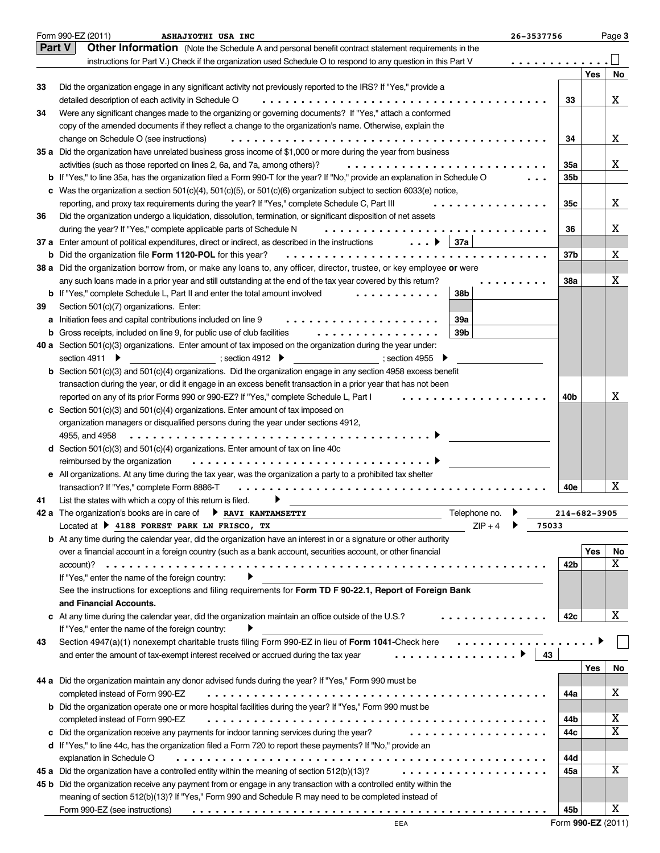| Form 990-EZ (2011)<br>Page 3<br>ASHAJYOTHI USA INC<br>26-3537756 |                                                                                                                                     |              |     |    |
|------------------------------------------------------------------|-------------------------------------------------------------------------------------------------------------------------------------|--------------|-----|----|
|                                                                  | Part V<br>Other Information (Note the Schedule A and personal benefit contract statement requirements in the                        |              |     |    |
|                                                                  | instructions for Part V.) Check if the organization used Schedule O to respond to any question in this Part V<br>.                  |              |     |    |
|                                                                  |                                                                                                                                     |              | Yes | No |
| 33                                                               | Did the organization engage in any significant activity not previously reported to the IRS? If "Yes," provide a                     |              |     |    |
|                                                                  | detailed description of each activity in Schedule O                                                                                 | 33           |     | X  |
| 34                                                               | Were any significant changes made to the organizing or governing documents? If "Yes," attach a conformed                            |              |     |    |
|                                                                  | copy of the amended documents if they reflect a change to the organization's name. Otherwise, explain the                           |              |     |    |
|                                                                  | change on Schedule O (see instructions)                                                                                             | 34           |     | X  |
|                                                                  | 35 a Did the organization have unrelated business gross income of \$1,000 or more during the year from business                     |              |     |    |
|                                                                  | activities (such as those reported on lines 2, 6a, and 7a, among others)?                                                           | <b>35a</b>   |     | X  |
|                                                                  | <b>b</b> If "Yes," to line 35a, has the organization filed a Form 990-T for the year? If "No," provide an explanation in Schedule O | 35b          |     |    |
|                                                                  | c Was the organization a section $501(c)(4)$ , $501(c)(5)$ , or $501(c)(6)$ organization subject to section $6033(e)$ notice,       |              |     |    |
|                                                                  | reporting, and proxy tax requirements during the year? If "Yes," complete Schedule C, Part III<br>.                                 | 35c          |     | X  |
| 36                                                               | Did the organization undergo a liquidation, dissolution, termination, or significant disposition of net assets                      |              |     |    |
|                                                                  | during the year? If "Yes," complete applicable parts of Schedule N<br>.                                                             | 36           |     | X  |
|                                                                  | 37 a Enter amount of political expenditures, direct or indirect, as described in the instructions $\ldots$ .<br>37a                 |              |     |    |
|                                                                  | <b>b</b> Did the organization file Form 1120-POL for this year?<br>.                                                                | 37b          |     | X  |
|                                                                  | 38 a Did the organization borrow from, or make any loans to, any officer, director, trustee, or key employee or were                |              |     |    |
|                                                                  | any such loans made in a prior year and still outstanding at the end of the tax year covered by this return?                        | 38a          |     | Χ  |
|                                                                  | 38b<br><b>b</b> If "Yes," complete Schedule L, Part II and enter the total amount involved<br>. <b>.</b>                            |              |     |    |
| 39                                                               | Section 501(c)(7) organizations. Enter:                                                                                             |              |     |    |
|                                                                  | 39a<br>a Initiation fees and capital contributions included on line 9<br>.                                                          |              |     |    |
|                                                                  | 39b<br>.<br><b>b</b> Gross receipts, included on line 9, for public use of club facilities                                          |              |     |    |
|                                                                  | 40 a Section 501(c)(3) organizations. Enter amount of tax imposed on the organization during the year under:                        |              |     |    |
|                                                                  | section 4911 ▶<br>; section 4912<br>$\sim$ ; section 4955                                                                           |              |     |    |
|                                                                  | <b>b</b> Section $501(c)(3)$ and $501(c)(4)$ organizations. Did the organization engage in any section 4958 excess benefit          |              |     |    |
|                                                                  | transaction during the year, or did it engage in an excess benefit transaction in a prior year that has not been                    |              |     |    |
|                                                                  | reported on any of its prior Forms 990 or 990-EZ? If "Yes," complete Schedule L, Part I                                             | 40b          |     | X  |
|                                                                  | c Section 501(c)(3) and 501(c)(4) organizations. Enter amount of tax imposed on                                                     |              |     |    |
|                                                                  | organization managers or disqualified persons during the year under sections 4912,                                                  |              |     |    |
|                                                                  | 4955, and 4958                                                                                                                      |              |     |    |
|                                                                  | <b>d</b> Section 501(c)(3) and 501(c)(4) organizations. Enter amount of tax on line 40c                                             |              |     |    |
|                                                                  | reimbursed by the organization                                                                                                      |              |     |    |
|                                                                  | e All organizations. At any time during the tax year, was the organization a party to a prohibited tax shelter                      |              |     |    |
|                                                                  | transaction? If "Yes," complete Form 8886-T                                                                                         | 40e          |     | Χ  |
| 41                                                               | List the states with which a copy of this return is filed.                                                                          |              |     |    |
|                                                                  | Telephone no.<br>The organization's books are in care of <b>FIF RAVI KANTAMSETTY</b>                                                | 214-682-3905 |     |    |
|                                                                  | Located at $\triangleright$ 4188 FOREST PARK LN FRISCO, TX<br>$ZIP + 4$<br>75033                                                    |              |     |    |
|                                                                  | <b>b</b> At any time during the calendar year, did the organization have an interest in or a signature or other authority           |              |     |    |
|                                                                  | over a financial account in a foreign country (such as a bank account, securities account, or other financial                       |              | Yes | No |
|                                                                  |                                                                                                                                     | 42b          |     | X  |
|                                                                  | If "Yes," enter the name of the foreign country:<br>▶                                                                               |              |     |    |
|                                                                  | See the instructions for exceptions and filing requirements for Form TD F 90-22.1, Report of Foreign Bank                           |              |     |    |
|                                                                  | and Financial Accounts.                                                                                                             |              |     |    |
|                                                                  | c At any time during the calendar year, did the organization maintain an office outside of the U.S.?<br>.                           | 42c          |     | X  |
|                                                                  | If "Yes," enter the name of the foreign country:                                                                                    |              |     |    |
| 43                                                               | Section 4947(a)(1) nonexempt charitable trusts filing Form 990-EZ in lieu of Form 1041-Check here                                   |              |     |    |
|                                                                  | .<br>and enter the amount of tax-exempt interest received or accrued during the tax year<br>43                                      |              |     |    |
|                                                                  |                                                                                                                                     |              | Yes | No |
|                                                                  | 44 a Did the organization maintain any donor advised funds during the year? If "Yes," Form 990 must be                              |              |     |    |
|                                                                  | completed instead of Form 990-EZ                                                                                                    | 44a          |     | X  |
|                                                                  | <b>b</b> Did the organization operate one or more hospital facilities during the year? If "Yes," Form 990 must be                   |              |     |    |
|                                                                  | completed instead of Form 990-EZ                                                                                                    | 44b          |     | Χ  |
|                                                                  | .<br>c Did the organization receive any payments for indoor tanning services during the year?                                       | 44с          |     | X  |
|                                                                  | d If "Yes," to line 44c, has the organization filed a Form 720 to report these payments? If "No," provide an                        |              |     |    |
|                                                                  | explanation in Schedule O                                                                                                           | 44d          |     |    |
|                                                                  | .<br>45 a Did the organization have a controlled entity within the meaning of section 512(b)(13)?                                   | 45а          |     | X  |
|                                                                  | 45 b Did the organization receive any payment from or engage in any transaction with a controlled entity within the                 |              |     |    |
|                                                                  | meaning of section 512(b)(13)? If "Yes," Form 990 and Schedule R may need to be completed instead of                                |              |     |    |
|                                                                  | Form 990-EZ (see instructions)                                                                                                      | 45b          |     | Χ  |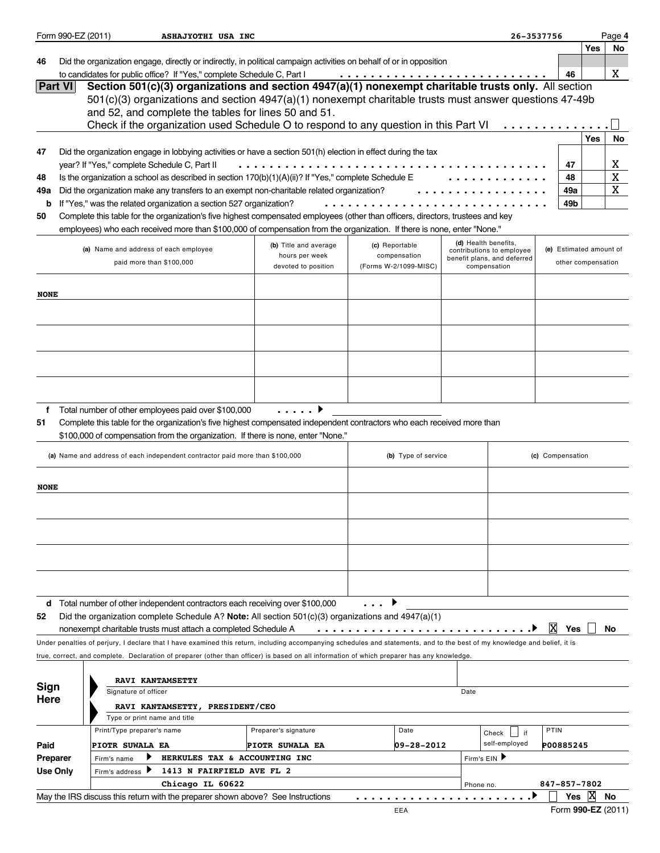|                 | Form 990-EZ (2011)                                                                      |                                              | ASHAJYOTHI USA INC                                                                   |                                                                                                                                                                                                                                                            |    |                                |           |                                             | 26-3537756              |                    | Page 4      |
|-----------------|-----------------------------------------------------------------------------------------|----------------------------------------------|--------------------------------------------------------------------------------------|------------------------------------------------------------------------------------------------------------------------------------------------------------------------------------------------------------------------------------------------------------|----|--------------------------------|-----------|---------------------------------------------|-------------------------|--------------------|-------------|
|                 |                                                                                         |                                              |                                                                                      |                                                                                                                                                                                                                                                            |    |                                |           |                                             |                         | Yes                | No          |
| 46              |                                                                                         |                                              |                                                                                      | Did the organization engage, directly or indirectly, in political campaign activities on behalf of or in opposition                                                                                                                                        |    |                                |           |                                             |                         |                    |             |
|                 | <b>Part VI</b>                                                                          |                                              | to candidates for public office? If "Yes," complete Schedule C, Part I               | Section 501(c)(3) organizations and section 4947(a)(1) nonexempt charitable trusts only. All section                                                                                                                                                       |    |                                |           |                                             | 46                      |                    | X           |
|                 |                                                                                         |                                              |                                                                                      | 501(c)(3) organizations and section 4947(a)(1) nonexempt charitable trusts must answer questions 47-49b                                                                                                                                                    |    |                                |           |                                             |                         |                    |             |
|                 |                                                                                         |                                              | and 52, and complete the tables for lines 50 and 51.                                 |                                                                                                                                                                                                                                                            |    |                                |           |                                             |                         |                    |             |
|                 |                                                                                         |                                              |                                                                                      | Check if the organization used Schedule O to respond to any question in this Part VI                                                                                                                                                                       |    |                                |           |                                             |                         |                    |             |
|                 |                                                                                         |                                              |                                                                                      |                                                                                                                                                                                                                                                            |    |                                |           |                                             |                         | Yes                | No          |
| 47              |                                                                                         |                                              |                                                                                      | Did the organization engage in lobbying activities or have a section 501(h) election in effect during the tax                                                                                                                                              |    |                                |           |                                             |                         |                    |             |
|                 |                                                                                         | year? If "Yes," complete Schedule C, Part II |                                                                                      |                                                                                                                                                                                                                                                            | 47 |                                |           |                                             |                         |                    | X           |
| 48              |                                                                                         |                                              |                                                                                      | Is the organization a school as described in section 170(b)(1)(A)(ii)? If "Yes," complete Schedule E                                                                                                                                                       |    |                                |           |                                             | 48                      |                    | $\mathbf X$ |
| 49a             |                                                                                         |                                              |                                                                                      | Did the organization make any transfers to an exempt non-charitable related organization?                                                                                                                                                                  |    |                                |           |                                             | 49a                     |                    | $\mathbf X$ |
| b               |                                                                                         |                                              | If "Yes," was the related organization a section 527 organization?                   |                                                                                                                                                                                                                                                            |    |                                |           |                                             | 49b                     |                    |             |
| 50              |                                                                                         |                                              |                                                                                      | Complete this table for the organization's five highest compensated employees (other than officers, directors, trustees and key<br>employees) who each received more than \$100,000 of compensation from the organization. If there is none, enter "None." |    |                                |           |                                             |                         |                    |             |
|                 |                                                                                         |                                              |                                                                                      |                                                                                                                                                                                                                                                            |    |                                |           | (d) Health benefits,                        |                         |                    |             |
|                 |                                                                                         | (a) Name and address of each employee        |                                                                                      | (b) Title and average<br>hours per week                                                                                                                                                                                                                    |    | (c) Reportable<br>compensation |           | contributions to employee                   | (e) Estimated amount of |                    |             |
|                 |                                                                                         |                                              | paid more than \$100,000                                                             | devoted to position                                                                                                                                                                                                                                        |    | (Forms W-2/1099-MISC)          |           | benefit plans, and deferred<br>compensation |                         | other compensation |             |
|                 |                                                                                         |                                              |                                                                                      |                                                                                                                                                                                                                                                            |    |                                |           |                                             |                         |                    |             |
| <b>NONE</b>     |                                                                                         |                                              |                                                                                      |                                                                                                                                                                                                                                                            |    |                                |           |                                             |                         |                    |             |
|                 |                                                                                         |                                              |                                                                                      |                                                                                                                                                                                                                                                            |    |                                |           |                                             |                         |                    |             |
|                 |                                                                                         |                                              |                                                                                      |                                                                                                                                                                                                                                                            |    |                                |           |                                             |                         |                    |             |
|                 |                                                                                         |                                              |                                                                                      |                                                                                                                                                                                                                                                            |    |                                |           |                                             |                         |                    |             |
|                 |                                                                                         |                                              |                                                                                      |                                                                                                                                                                                                                                                            |    |                                |           |                                             |                         |                    |             |
|                 |                                                                                         |                                              |                                                                                      |                                                                                                                                                                                                                                                            |    |                                |           |                                             |                         |                    |             |
|                 |                                                                                         |                                              |                                                                                      |                                                                                                                                                                                                                                                            |    |                                |           |                                             |                         |                    |             |
|                 |                                                                                         |                                              |                                                                                      |                                                                                                                                                                                                                                                            |    |                                |           |                                             |                         |                    |             |
|                 |                                                                                         |                                              |                                                                                      |                                                                                                                                                                                                                                                            |    |                                |           |                                             |                         |                    |             |
| f<br>51         |                                                                                         |                                              | Total number of other employees paid over \$100,000                                  | . <b>.</b><br>Complete this table for the organization's five highest compensated independent contractors who each received more than                                                                                                                      |    |                                |           |                                             |                         |                    |             |
|                 |                                                                                         |                                              |                                                                                      | \$100,000 of compensation from the organization. If there is none, enter "None."                                                                                                                                                                           |    |                                |           |                                             |                         |                    |             |
|                 |                                                                                         |                                              |                                                                                      |                                                                                                                                                                                                                                                            |    |                                |           |                                             |                         |                    |             |
|                 |                                                                                         |                                              | (a) Name and address of each independent contractor paid more than \$100,000         |                                                                                                                                                                                                                                                            |    | (b) Type of service            |           |                                             | (c) Compensation        |                    |             |
|                 |                                                                                         |                                              |                                                                                      |                                                                                                                                                                                                                                                            |    |                                |           |                                             |                         |                    |             |
| <b>NONE</b>     |                                                                                         |                                              |                                                                                      |                                                                                                                                                                                                                                                            |    |                                |           |                                             |                         |                    |             |
|                 |                                                                                         |                                              |                                                                                      |                                                                                                                                                                                                                                                            |    |                                |           |                                             |                         |                    |             |
|                 |                                                                                         |                                              |                                                                                      |                                                                                                                                                                                                                                                            |    |                                |           |                                             |                         |                    |             |
|                 |                                                                                         |                                              |                                                                                      |                                                                                                                                                                                                                                                            |    |                                |           |                                             |                         |                    |             |
|                 |                                                                                         |                                              |                                                                                      |                                                                                                                                                                                                                                                            |    |                                |           |                                             |                         |                    |             |
|                 |                                                                                         |                                              |                                                                                      |                                                                                                                                                                                                                                                            |    |                                |           |                                             |                         |                    |             |
|                 |                                                                                         |                                              |                                                                                      |                                                                                                                                                                                                                                                            |    |                                |           |                                             |                         |                    |             |
|                 |                                                                                         |                                              |                                                                                      |                                                                                                                                                                                                                                                            |    |                                |           |                                             |                         |                    |             |
|                 |                                                                                         |                                              | <b>d</b> Total number of other independent contractors each receiving over \$100,000 |                                                                                                                                                                                                                                                            |    |                                |           |                                             |                         |                    |             |
| 52              |                                                                                         |                                              |                                                                                      | Did the organization complete Schedule A? Note: All section $501(c)(3)$ organizations and $4947(a)(1)$                                                                                                                                                     |    |                                |           |                                             |                         |                    |             |
|                 |                                                                                         |                                              | nonexempt charitable trusts must attach a completed Schedule A                       |                                                                                                                                                                                                                                                            |    | .                              |           |                                             | ΙX<br>Yes               |                    | No          |
|                 |                                                                                         |                                              |                                                                                      | Under penalties of perjury, I declare that I have examined this return, including accompanying schedules and statements, and to the best of my knowledge and belief, it is                                                                                 |    |                                |           |                                             |                         |                    |             |
|                 |                                                                                         |                                              |                                                                                      | true, correct, and complete. Declaration of preparer (other than officer) is based on all information of which preparer has any knowledge.                                                                                                                 |    |                                |           |                                             |                         |                    |             |
|                 |                                                                                         |                                              |                                                                                      |                                                                                                                                                                                                                                                            |    |                                |           |                                             |                         |                    |             |
| Sign            |                                                                                         |                                              | <b>RAVI KANTAMSETTY</b>                                                              |                                                                                                                                                                                                                                                            |    |                                |           |                                             |                         |                    |             |
| Here            |                                                                                         | Signature of officer                         |                                                                                      |                                                                                                                                                                                                                                                            |    |                                | Date      |                                             |                         |                    |             |
|                 |                                                                                         |                                              | RAVI KANTAMSETTY, PRESIDENT/CEO                                                      |                                                                                                                                                                                                                                                            |    |                                |           |                                             |                         |                    |             |
|                 |                                                                                         | Type or print name and title                 |                                                                                      |                                                                                                                                                                                                                                                            |    |                                |           |                                             |                         |                    |             |
|                 |                                                                                         | Print/Type preparer's name                   |                                                                                      | Preparer's signature                                                                                                                                                                                                                                       |    | Date                           |           | Check<br>if                                 | <b>PTIN</b>             |                    |             |
|                 | self-employed<br>Paid<br>09-28-2012<br><b>PIOTR SUWALA EA</b><br><b>PIOTR SUWALA EA</b> |                                              | P00885245                                                                            |                                                                                                                                                                                                                                                            |    |                                |           |                                             |                         |                    |             |
| Preparer        |                                                                                         | Firm's name                                  | HERKULES TAX & ACCOUNTING INC                                                        |                                                                                                                                                                                                                                                            |    |                                |           | Firm's EIN                                  |                         |                    |             |
| <b>Use Only</b> |                                                                                         | Firm's address                               | 1413 N FAIRFIELD AVE FL 2                                                            |                                                                                                                                                                                                                                                            |    |                                |           |                                             |                         |                    |             |
|                 |                                                                                         |                                              | Chicago IL 60622                                                                     |                                                                                                                                                                                                                                                            |    |                                | Phone no. |                                             | 847-857-7802            | ΙX                 | No          |
|                 |                                                                                         |                                              | May the IRS discuss this return with the preparer shown above? See Instructions      |                                                                                                                                                                                                                                                            |    | EEA                            |           |                                             | Yes                     | Form 990-EZ (2011) |             |
|                 |                                                                                         |                                              |                                                                                      |                                                                                                                                                                                                                                                            |    |                                |           |                                             |                         |                    |             |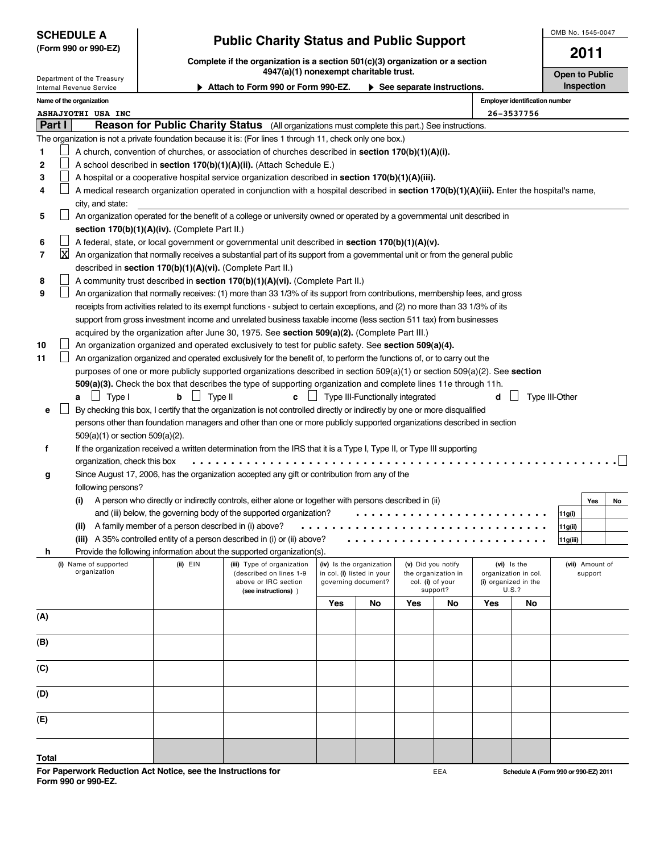| <b>SCHEDULE A</b> |                      |
|-------------------|----------------------|
|                   | (Form 990 or 990-EZ) |

## **Public Charity Status and Public Support CHEDULE 2011**

**Complete if the organization is a section 501(c)(3) organization or a section 4947(a)(1) nonexempt charitable trust. Consumersion Consumersity Consumersity Consumersity Consumersity Consumersity Consumersity Consumersity Consumersity Consumersity Consumersity Consumersity Consumersity Consumersit** 

Department of the Treasury ▶ Attach to Form 990 or Form 990-EZ. ▶ See separate instructions. **I** Inspection Internal Revenue Service **Name of the organization Employer identification number ASHAJYOTHI USA INC 26-3537756 Part I Reason for Public Charity Status** (All organizations must complete this part.) See instructions. The organization is not a private foundation because it is: (For lines 1 through 11, check only one box.) **1** A church, convention of churches, or association of churches described in **section 170(b)(1)(A)(i). 2**  $\mathsf{L}$ A school described in **section 170(b)(1)(A)(ii).** (Attach Schedule E.) П **3** A hospital or a cooperative hospital service organization described in **section 170(b)(1)(A)(iii).** Ш A medical research organization operated in conjunction with a hospital described in **section 170(b)(1)(A)(iii).** Enter the hospital's name, **4** city, and state:  $\Box$ **5** An organization operated for the benefit of a college or university owned or operated by a governmental unit described in **section 170(b)(1)(A)(iv).** (Complete Part II.) **6** A federal, state, or local government or governmental unit described in **section 170(b)(1)(A)(v).** XAn organization that normally receives a substantial part of its support from a governmental unit or from the general public **7** described in **section 170(b)(1)(A)(vi).** (Complete Part II.) **8** A community trust described in **section 170(b)(1)(A)(vi).** (Complete Part II.) **9** An organization that normally receives: (1) more than 33 1/3% of its support from contributions, membership fees, and gross receipts from activities related to its exempt functions - subject to certain exceptions, and (2) no more than 33 1/3% of its support from gross investment income and unrelated business taxable income (less section 511 tax) from businesses acquired by the organization after June 30, 1975. See **section 509(a)(2).** (Complete Part III.) An organization organized and operated exclusively to test for public safety. See **section 509(a)(4). 10 11**  $\Box$ An organization organized and operated exclusively for the benefit of, to perform the functions of, or to carry out the purposes of one or more publicly supported organizations described in section 509(a)(1) or section 509(a)(2). See **section 509(a)(3).** Check the box that describes the type of supporting organization and complete lines 11e through 11h. **a**  $\bigsqcup$  Type II Type III **c**  $\bigsqcup$  Type III-Functionally integrated **d** ig Type III-Other  $\perp$ By checking this box, I certify that the organization is not controlled directly or indirectly by one or more disqualified **e** persons other than foundation managers and other than one or more publicly supported organizations described in section 509(a)(1) or section 509(a)(2). **f** If the organization received a written determination from the IRS that it is a Type I, Type II, or Type III supporting organization, check this box ....................................................... Since August 17, 2006, has the organization accepted any gift or contribution from any of the **g** following persons? **(i)** A person who directly or indirectly controls, either alone or together with persons described in (ii) **Yes No** and (iii) below, the governing body of the supported organization? **11g(i)** ......................... ................................ **(ii)** A family member of a person described in (i) above? **11g(ii) 11g(iii) (iii)** A 35% controlled entity of a person described in (i) or (ii) above? .......................... Provide the following information about the supported organization(s). **h** (**i)** Name of supported | (**ii)** EIN | (**iii)** Type of organization | (**iv)** Is the organization | (**v**) Did you notify | (**vi**) Is the | (**vii)** Amount of organization **and the original collect on lines 1-9** in col. (i) listed in your the organization in col. support in col. (i) listed in your above or IRC section governing document? col. (i) of your (i) organized  $\frac{1}{100}$  (i)  $\frac{1}{100}$  organized col. (i) of your (i) organized in the support? U.S.? **(see instructions)** ) support? U.S.? **Yes No Yes No Yes No (A) (B) (C) (D) (E) Total**

**For Paperwork Reduction Act Notice, see the Instructions for Form 990 or 990-EZ.**

EEA

**Schedule A (Form 990 or 990-EZ) 2011**

OMB No. 1545-0047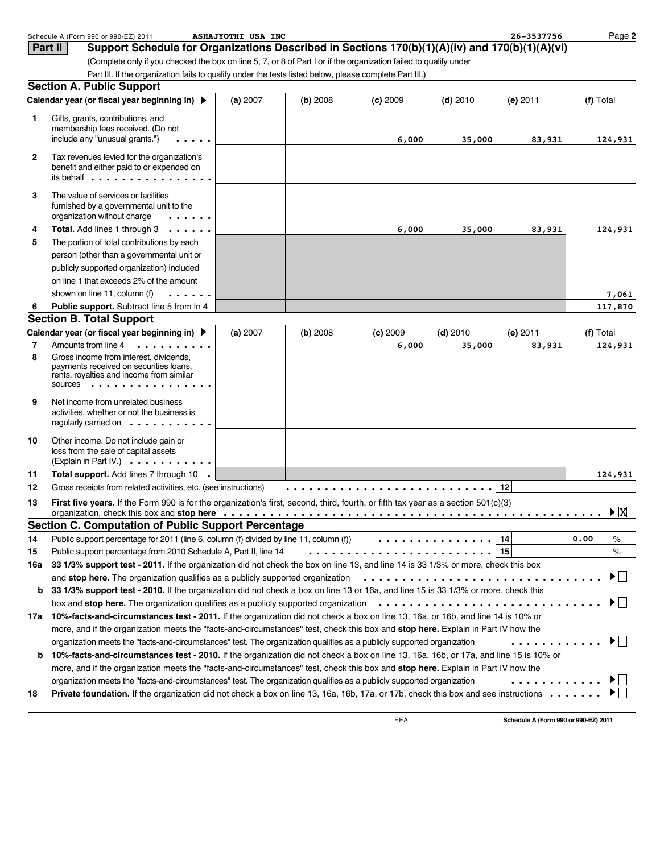| Support Schedule for Organizations Described in Sections 170(b)(1)(A)(iv) and 170(b)(1)(A)(vi)<br><b>Part II</b>                                                                      |                                                                                                                                                 |                                                                 |                                                                                                                         |                                                                                                                  |                                                                                                                                                                                                                                                            |                                                                                                                                                                                                                                                                                                                                                                                                                                                                                                                                                                                                                                                                                                                                                                                                                                                                                                                                                                                                                                                                                                                                                                                                                                                                                                                                                                                                                                                                                                                                                                                                                     |
|---------------------------------------------------------------------------------------------------------------------------------------------------------------------------------------|-------------------------------------------------------------------------------------------------------------------------------------------------|-----------------------------------------------------------------|-------------------------------------------------------------------------------------------------------------------------|------------------------------------------------------------------------------------------------------------------|------------------------------------------------------------------------------------------------------------------------------------------------------------------------------------------------------------------------------------------------------------|---------------------------------------------------------------------------------------------------------------------------------------------------------------------------------------------------------------------------------------------------------------------------------------------------------------------------------------------------------------------------------------------------------------------------------------------------------------------------------------------------------------------------------------------------------------------------------------------------------------------------------------------------------------------------------------------------------------------------------------------------------------------------------------------------------------------------------------------------------------------------------------------------------------------------------------------------------------------------------------------------------------------------------------------------------------------------------------------------------------------------------------------------------------------------------------------------------------------------------------------------------------------------------------------------------------------------------------------------------------------------------------------------------------------------------------------------------------------------------------------------------------------------------------------------------------------------------------------------------------------|
|                                                                                                                                                                                       |                                                                                                                                                 |                                                                 |                                                                                                                         |                                                                                                                  |                                                                                                                                                                                                                                                            |                                                                                                                                                                                                                                                                                                                                                                                                                                                                                                                                                                                                                                                                                                                                                                                                                                                                                                                                                                                                                                                                                                                                                                                                                                                                                                                                                                                                                                                                                                                                                                                                                     |
| (Complete only if you checked the box on line 5, 7, or 8 of Part I or if the organization failed to qualify under                                                                     |                                                                                                                                                 |                                                                 |                                                                                                                         |                                                                                                                  |                                                                                                                                                                                                                                                            |                                                                                                                                                                                                                                                                                                                                                                                                                                                                                                                                                                                                                                                                                                                                                                                                                                                                                                                                                                                                                                                                                                                                                                                                                                                                                                                                                                                                                                                                                                                                                                                                                     |
|                                                                                                                                                                                       |                                                                                                                                                 |                                                                 |                                                                                                                         |                                                                                                                  |                                                                                                                                                                                                                                                            |                                                                                                                                                                                                                                                                                                                                                                                                                                                                                                                                                                                                                                                                                                                                                                                                                                                                                                                                                                                                                                                                                                                                                                                                                                                                                                                                                                                                                                                                                                                                                                                                                     |
|                                                                                                                                                                                       |                                                                                                                                                 |                                                                 |                                                                                                                         |                                                                                                                  |                                                                                                                                                                                                                                                            |                                                                                                                                                                                                                                                                                                                                                                                                                                                                                                                                                                                                                                                                                                                                                                                                                                                                                                                                                                                                                                                                                                                                                                                                                                                                                                                                                                                                                                                                                                                                                                                                                     |
| Calendar year (or fiscal year beginning in) ▶                                                                                                                                         | (a) 2007                                                                                                                                        | (b) 2008                                                        | $(c)$ 2009                                                                                                              | $(d)$ 2010                                                                                                       | $(e)$ 2011                                                                                                                                                                                                                                                 | (f) Total                                                                                                                                                                                                                                                                                                                                                                                                                                                                                                                                                                                                                                                                                                                                                                                                                                                                                                                                                                                                                                                                                                                                                                                                                                                                                                                                                                                                                                                                                                                                                                                                           |
| Gifts, grants, contributions, and<br>membership fees received. (Do not                                                                                                                |                                                                                                                                                 |                                                                 |                                                                                                                         |                                                                                                                  |                                                                                                                                                                                                                                                            | 124,931                                                                                                                                                                                                                                                                                                                                                                                                                                                                                                                                                                                                                                                                                                                                                                                                                                                                                                                                                                                                                                                                                                                                                                                                                                                                                                                                                                                                                                                                                                                                                                                                             |
| Tax revenues levied for the organization's<br>benefit and either paid to or expended on<br>its behalf $\cdot \cdot \cdot \cdot \cdot \cdot \cdot \cdot \cdot \cdot \cdot \cdot \cdot$ |                                                                                                                                                 |                                                                 |                                                                                                                         |                                                                                                                  |                                                                                                                                                                                                                                                            |                                                                                                                                                                                                                                                                                                                                                                                                                                                                                                                                                                                                                                                                                                                                                                                                                                                                                                                                                                                                                                                                                                                                                                                                                                                                                                                                                                                                                                                                                                                                                                                                                     |
| The value of services or facilities<br>furnished by a governmental unit to the<br>organization without charge<br>.                                                                    |                                                                                                                                                 |                                                                 |                                                                                                                         |                                                                                                                  |                                                                                                                                                                                                                                                            |                                                                                                                                                                                                                                                                                                                                                                                                                                                                                                                                                                                                                                                                                                                                                                                                                                                                                                                                                                                                                                                                                                                                                                                                                                                                                                                                                                                                                                                                                                                                                                                                                     |
| Total. Add lines 1 through 3                                                                                                                                                          |                                                                                                                                                 |                                                                 | 6,000                                                                                                                   | 35,000                                                                                                           | 83,931                                                                                                                                                                                                                                                     | 124,931                                                                                                                                                                                                                                                                                                                                                                                                                                                                                                                                                                                                                                                                                                                                                                                                                                                                                                                                                                                                                                                                                                                                                                                                                                                                                                                                                                                                                                                                                                                                                                                                             |
| The portion of total contributions by each                                                                                                                                            |                                                                                                                                                 |                                                                 |                                                                                                                         |                                                                                                                  |                                                                                                                                                                                                                                                            |                                                                                                                                                                                                                                                                                                                                                                                                                                                                                                                                                                                                                                                                                                                                                                                                                                                                                                                                                                                                                                                                                                                                                                                                                                                                                                                                                                                                                                                                                                                                                                                                                     |
| person (other than a governmental unit or                                                                                                                                             |                                                                                                                                                 |                                                                 |                                                                                                                         |                                                                                                                  |                                                                                                                                                                                                                                                            |                                                                                                                                                                                                                                                                                                                                                                                                                                                                                                                                                                                                                                                                                                                                                                                                                                                                                                                                                                                                                                                                                                                                                                                                                                                                                                                                                                                                                                                                                                                                                                                                                     |
| publicly supported organization) included                                                                                                                                             |                                                                                                                                                 |                                                                 |                                                                                                                         |                                                                                                                  |                                                                                                                                                                                                                                                            |                                                                                                                                                                                                                                                                                                                                                                                                                                                                                                                                                                                                                                                                                                                                                                                                                                                                                                                                                                                                                                                                                                                                                                                                                                                                                                                                                                                                                                                                                                                                                                                                                     |
| on line 1 that exceeds 2% of the amount                                                                                                                                               |                                                                                                                                                 |                                                                 |                                                                                                                         |                                                                                                                  |                                                                                                                                                                                                                                                            |                                                                                                                                                                                                                                                                                                                                                                                                                                                                                                                                                                                                                                                                                                                                                                                                                                                                                                                                                                                                                                                                                                                                                                                                                                                                                                                                                                                                                                                                                                                                                                                                                     |
| shown on line 11, column (f)<br>.                                                                                                                                                     |                                                                                                                                                 |                                                                 |                                                                                                                         |                                                                                                                  |                                                                                                                                                                                                                                                            | 7,061                                                                                                                                                                                                                                                                                                                                                                                                                                                                                                                                                                                                                                                                                                                                                                                                                                                                                                                                                                                                                                                                                                                                                                                                                                                                                                                                                                                                                                                                                                                                                                                                               |
| Public support. Subtract line 5 from ln 4                                                                                                                                             |                                                                                                                                                 |                                                                 |                                                                                                                         |                                                                                                                  |                                                                                                                                                                                                                                                            | 117,870                                                                                                                                                                                                                                                                                                                                                                                                                                                                                                                                                                                                                                                                                                                                                                                                                                                                                                                                                                                                                                                                                                                                                                                                                                                                                                                                                                                                                                                                                                                                                                                                             |
|                                                                                                                                                                                       |                                                                                                                                                 |                                                                 |                                                                                                                         |                                                                                                                  |                                                                                                                                                                                                                                                            |                                                                                                                                                                                                                                                                                                                                                                                                                                                                                                                                                                                                                                                                                                                                                                                                                                                                                                                                                                                                                                                                                                                                                                                                                                                                                                                                                                                                                                                                                                                                                                                                                     |
| Calendar year (or fiscal year beginning in) ▶                                                                                                                                         | (a) 2007                                                                                                                                        | (b) 2008                                                        | $(c)$ 2009                                                                                                              | $(d)$ 2010                                                                                                       | $(e)$ 2011                                                                                                                                                                                                                                                 | (f) Total                                                                                                                                                                                                                                                                                                                                                                                                                                                                                                                                                                                                                                                                                                                                                                                                                                                                                                                                                                                                                                                                                                                                                                                                                                                                                                                                                                                                                                                                                                                                                                                                           |
| Amounts from line 4<br>.                                                                                                                                                              |                                                                                                                                                 |                                                                 | 6,000                                                                                                                   | 35,000                                                                                                           | 83,931                                                                                                                                                                                                                                                     | 124,931                                                                                                                                                                                                                                                                                                                                                                                                                                                                                                                                                                                                                                                                                                                                                                                                                                                                                                                                                                                                                                                                                                                                                                                                                                                                                                                                                                                                                                                                                                                                                                                                             |
| payments received on securities loans,<br>rents, royalties and income from similar<br>SOUICES                                                                                         |                                                                                                                                                 |                                                                 |                                                                                                                         |                                                                                                                  |                                                                                                                                                                                                                                                            |                                                                                                                                                                                                                                                                                                                                                                                                                                                                                                                                                                                                                                                                                                                                                                                                                                                                                                                                                                                                                                                                                                                                                                                                                                                                                                                                                                                                                                                                                                                                                                                                                     |
| Net income from unrelated business<br>activities, whether or not the business is<br>regularly carried on $\dots \dots \dots$                                                          |                                                                                                                                                 |                                                                 |                                                                                                                         |                                                                                                                  |                                                                                                                                                                                                                                                            |                                                                                                                                                                                                                                                                                                                                                                                                                                                                                                                                                                                                                                                                                                                                                                                                                                                                                                                                                                                                                                                                                                                                                                                                                                                                                                                                                                                                                                                                                                                                                                                                                     |
| Other income. Do not include gain or<br>loss from the sale of capital assets<br>(Explain in Part IV.) $\cdots \cdots \cdots$                                                          |                                                                                                                                                 |                                                                 |                                                                                                                         |                                                                                                                  |                                                                                                                                                                                                                                                            |                                                                                                                                                                                                                                                                                                                                                                                                                                                                                                                                                                                                                                                                                                                                                                                                                                                                                                                                                                                                                                                                                                                                                                                                                                                                                                                                                                                                                                                                                                                                                                                                                     |
| Total support. Add lines 7 through 10 .                                                                                                                                               |                                                                                                                                                 |                                                                 |                                                                                                                         |                                                                                                                  |                                                                                                                                                                                                                                                            | 124,931                                                                                                                                                                                                                                                                                                                                                                                                                                                                                                                                                                                                                                                                                                                                                                                                                                                                                                                                                                                                                                                                                                                                                                                                                                                                                                                                                                                                                                                                                                                                                                                                             |
|                                                                                                                                                                                       |                                                                                                                                                 |                                                                 |                                                                                                                         |                                                                                                                  | 12                                                                                                                                                                                                                                                         |                                                                                                                                                                                                                                                                                                                                                                                                                                                                                                                                                                                                                                                                                                                                                                                                                                                                                                                                                                                                                                                                                                                                                                                                                                                                                                                                                                                                                                                                                                                                                                                                                     |
|                                                                                                                                                                                       |                                                                                                                                                 |                                                                 |                                                                                                                         |                                                                                                                  |                                                                                                                                                                                                                                                            | $\blacktriangleright \boxed{X}$                                                                                                                                                                                                                                                                                                                                                                                                                                                                                                                                                                                                                                                                                                                                                                                                                                                                                                                                                                                                                                                                                                                                                                                                                                                                                                                                                                                                                                                                                                                                                                                     |
|                                                                                                                                                                                       |                                                                                                                                                 |                                                                 |                                                                                                                         |                                                                                                                  |                                                                                                                                                                                                                                                            |                                                                                                                                                                                                                                                                                                                                                                                                                                                                                                                                                                                                                                                                                                                                                                                                                                                                                                                                                                                                                                                                                                                                                                                                                                                                                                                                                                                                                                                                                                                                                                                                                     |
|                                                                                                                                                                                       |                                                                                                                                                 |                                                                 |                                                                                                                         |                                                                                                                  |                                                                                                                                                                                                                                                            | 0.00<br>%                                                                                                                                                                                                                                                                                                                                                                                                                                                                                                                                                                                                                                                                                                                                                                                                                                                                                                                                                                                                                                                                                                                                                                                                                                                                                                                                                                                                                                                                                                                                                                                                           |
|                                                                                                                                                                                       |                                                                                                                                                 |                                                                 |                                                                                                                         |                                                                                                                  |                                                                                                                                                                                                                                                            | $\%$                                                                                                                                                                                                                                                                                                                                                                                                                                                                                                                                                                                                                                                                                                                                                                                                                                                                                                                                                                                                                                                                                                                                                                                                                                                                                                                                                                                                                                                                                                                                                                                                                |
|                                                                                                                                                                                       |                                                                                                                                                 |                                                                 |                                                                                                                         |                                                                                                                  |                                                                                                                                                                                                                                                            |                                                                                                                                                                                                                                                                                                                                                                                                                                                                                                                                                                                                                                                                                                                                                                                                                                                                                                                                                                                                                                                                                                                                                                                                                                                                                                                                                                                                                                                                                                                                                                                                                     |
|                                                                                                                                                                                       |                                                                                                                                                 |                                                                 |                                                                                                                         |                                                                                                                  |                                                                                                                                                                                                                                                            | ▶ │ │                                                                                                                                                                                                                                                                                                                                                                                                                                                                                                                                                                                                                                                                                                                                                                                                                                                                                                                                                                                                                                                                                                                                                                                                                                                                                                                                                                                                                                                                                                                                                                                                               |
|                                                                                                                                                                                       |                                                                                                                                                 |                                                                 |                                                                                                                         |                                                                                                                  |                                                                                                                                                                                                                                                            | $\blacktriangleright$ $\vdash$                                                                                                                                                                                                                                                                                                                                                                                                                                                                                                                                                                                                                                                                                                                                                                                                                                                                                                                                                                                                                                                                                                                                                                                                                                                                                                                                                                                                                                                                                                                                                                                      |
|                                                                                                                                                                                       |                                                                                                                                                 |                                                                 |                                                                                                                         |                                                                                                                  |                                                                                                                                                                                                                                                            |                                                                                                                                                                                                                                                                                                                                                                                                                                                                                                                                                                                                                                                                                                                                                                                                                                                                                                                                                                                                                                                                                                                                                                                                                                                                                                                                                                                                                                                                                                                                                                                                                     |
|                                                                                                                                                                                       |                                                                                                                                                 |                                                                 |                                                                                                                         |                                                                                                                  |                                                                                                                                                                                                                                                            | $\blacktriangleright$ $\vdash$                                                                                                                                                                                                                                                                                                                                                                                                                                                                                                                                                                                                                                                                                                                                                                                                                                                                                                                                                                                                                                                                                                                                                                                                                                                                                                                                                                                                                                                                                                                                                                                      |
|                                                                                                                                                                                       |                                                                                                                                                 |                                                                 |                                                                                                                         |                                                                                                                  |                                                                                                                                                                                                                                                            |                                                                                                                                                                                                                                                                                                                                                                                                                                                                                                                                                                                                                                                                                                                                                                                                                                                                                                                                                                                                                                                                                                                                                                                                                                                                                                                                                                                                                                                                                                                                                                                                                     |
|                                                                                                                                                                                       |                                                                                                                                                 |                                                                 |                                                                                                                         |                                                                                                                  | .                                                                                                                                                                                                                                                          |                                                                                                                                                                                                                                                                                                                                                                                                                                                                                                                                                                                                                                                                                                                                                                                                                                                                                                                                                                                                                                                                                                                                                                                                                                                                                                                                                                                                                                                                                                                                                                                                                     |
|                                                                                                                                                                                       | <b>Section A. Public Support</b><br>include any "unusual grants.")<br><b>Section B. Total Support</b><br>Gross income from interest, dividends, | Gross receipts from related activities, etc. (see instructions) | Section C. Computation of Public Support Percentage<br>Public support percentage from 2010 Schedule A, Part II, line 14 | Part III. If the organization fails to qualify under the tests listed below, please complete Part III.)<br>6,000 | 35,000<br>organization meets the "facts-and-circumstances" test. The organization qualifies as a publicly supported organization<br>organization meets the "facts-and-circumstances" test. The organization qualifies as a publicly supported organization | 83,931<br>First five years. If the Form 990 is for the organization's first, second, third, fourth, or fifth tax year as a section 501(c)(3)<br>organization, check this box and stop here (also contained a service of a service of a service of the service or<br> 14 <br>Public support percentage for 2011 (line 6, column (f) divided by line 11, column (f) $\cdots \cdots \cdots \cdots$<br>33 1/3% support test - 2011. If the organization did not check the box on line 13, and line 14 is 33 1/3% or more, check this box<br>and stop here. The organization qualifies as a publicly supported organization<br>33 1/3% support test - 2010. If the organization did not check a box on line 13 or 16a, and line 15 is 33 1/3% or more, check this<br>box and stop here. The organization qualifies as a publicly supported organization $\dots\dots\dots\dots\dots\dots\dots\dots\dots\dots\dots\dots$<br>17a 10%-facts-and-circumstances test - 2011. If the organization did not check a box on line 13, 16a, or 16b, and line 14 is 10% or<br>more, and if the organization meets the "facts-and-circumstances" test, check this box and stop here. Explain in Part IV how the<br>.<br>10%-facts-and-circumstances test - 2010. If the organization did not check a box on line 13, 16a, 16b, or 17a, and line 15 is 10% or<br>more, and if the organization meets the "facts-and-circumstances" test, check this box and stop here. Explain in Part IV how the<br>Private foundation. If the organization did not check a box on line 13, 16a, 16b, 17a, or 17b, check this box and see instructions |

**Schedule A (Form 990 or 990-EZ) 2011**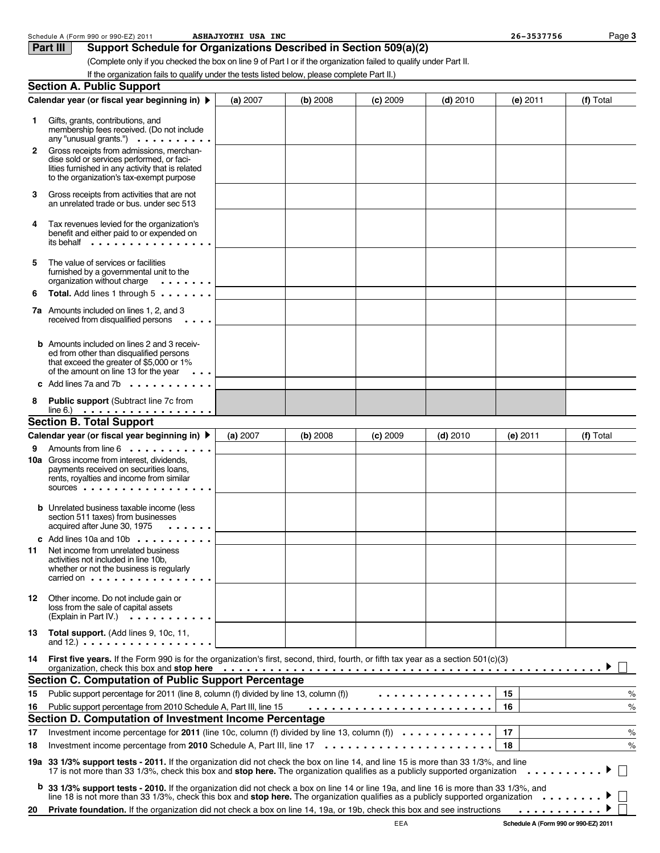|    | Schedule A (Form 990 or 990-EZ) 2011                                                                                                                                                                                                                                                                                                                                                                    | ASHAJYOTHI USA INC |          |            |            | 26-3537756 | Page 3        |
|----|---------------------------------------------------------------------------------------------------------------------------------------------------------------------------------------------------------------------------------------------------------------------------------------------------------------------------------------------------------------------------------------------------------|--------------------|----------|------------|------------|------------|---------------|
|    | Part III<br>Support Schedule for Organizations Described in Section 509(a)(2)                                                                                                                                                                                                                                                                                                                           |                    |          |            |            |            |               |
|    | (Complete only if you checked the box on line 9 of Part I or if the organization failed to qualify under Part II.                                                                                                                                                                                                                                                                                       |                    |          |            |            |            |               |
|    | If the organization fails to qualify under the tests listed below, please complete Part II.)                                                                                                                                                                                                                                                                                                            |                    |          |            |            |            |               |
|    | <b>Section A. Public Support</b>                                                                                                                                                                                                                                                                                                                                                                        |                    |          |            |            |            |               |
|    | Calendar year (or fiscal year beginning in) ▶                                                                                                                                                                                                                                                                                                                                                           | (a) 2007           | (b) 2008 | $(c)$ 2009 | $(d)$ 2010 | $(e)$ 2011 | (f) Total     |
| 1  | Gifts, grants, contributions, and<br>membership fees received. (Do not include<br>any "unusual grants.") $\cdots$                                                                                                                                                                                                                                                                                       |                    |          |            |            |            |               |
| 2  | Gross receipts from admissions, merchan-<br>dise sold or services performed, or faci-<br>lities furnished in any activity that is related<br>to the organization's tax-exempt purpose                                                                                                                                                                                                                   |                    |          |            |            |            |               |
| 3  | Gross receipts from activities that are not<br>an unrelated trade or bus. under sec 513                                                                                                                                                                                                                                                                                                                 |                    |          |            |            |            |               |
| 4  | Tax revenues levied for the organization's<br>benefit and either paid to or expended on<br>its behalf                                                                                                                                                                                                                                                                                                   |                    |          |            |            |            |               |
| 5  | The value of services or facilities<br>furnished by a governmental unit to the<br>organization without charge $\cdots$                                                                                                                                                                                                                                                                                  |                    |          |            |            |            |               |
| 6  | Total. Add lines 1 through 5                                                                                                                                                                                                                                                                                                                                                                            |                    |          |            |            |            |               |
|    | 7a Amounts included on lines 1, 2, and 3<br>received from disqualified persons<br>$\ddots$                                                                                                                                                                                                                                                                                                              |                    |          |            |            |            |               |
|    | <b>b</b> Amounts included on lines 2 and 3 receiv-<br>ed from other than disqualified persons<br>that exceed the greater of \$5,000 or 1%<br>of the amount on line 13 for the year $\cdots$                                                                                                                                                                                                             |                    |          |            |            |            |               |
|    | c Add lines 7a and 7b $\dots \dots \dots$                                                                                                                                                                                                                                                                                                                                                               |                    |          |            |            |            |               |
| 8  | Public support (Subtract line 7c from<br>$line 6)$                                                                                                                                                                                                                                                                                                                                                      |                    |          |            |            |            |               |
|    | <b>Section B. Total Support</b>                                                                                                                                                                                                                                                                                                                                                                         |                    |          |            |            |            |               |
|    | Calendar year (or fiscal year beginning in) ▶                                                                                                                                                                                                                                                                                                                                                           | (a) 2007           | (b) 2008 | $(c)$ 2009 | $(d)$ 2010 | $(e)$ 2011 | (f) Total     |
| 9  | Amounts from line 6<br><b>10a</b> Gross income from interest, dividends,<br>payments received on securities loans,<br>rents, royalties and income from similar<br>SOUICES                                                                                                                                                                                                                               |                    |          |            |            |            |               |
|    | <b>b</b> Unrelated business taxable income (less<br>section 511 taxes) from businesses<br>acquired after June 30, 1975                                                                                                                                                                                                                                                                                  |                    |          |            |            |            |               |
|    | c Add lines 10a and 10b $\cdots$                                                                                                                                                                                                                                                                                                                                                                        |                    |          |            |            |            |               |
| 11 | Net income from unrelated business<br>activities not included in line 10b.<br>whether or not the business is regularly<br>carried on $\cdots$ , $\cdots$ , $\cdots$ , $\cdots$ , $\cdots$                                                                                                                                                                                                               |                    |          |            |            |            |               |
| 12 | Other income. Do not include gain or<br>loss from the sale of capital assets<br>(Explain in Part IV.)<br>.                                                                                                                                                                                                                                                                                              |                    |          |            |            |            |               |
| 13 | Total support. (Add lines 9, 10c, 11,<br>and 12.) $\ldots \ldots \ldots \ldots \ldots$                                                                                                                                                                                                                                                                                                                  |                    |          |            |            |            |               |
| 14 | First five years. If the Form 990 is for the organization's first, second, third, fourth, or fifth tax year as a section 501(c)(3)<br>organization, check this box and stop here <u>example and state and state and state and state and state and</u>                                                                                                                                                   |                    |          |            |            |            |               |
|    | <b>Section C. Computation of Public Support Percentage</b>                                                                                                                                                                                                                                                                                                                                              |                    |          |            |            |            |               |
| 15 | Public support percentage for 2011 (line 8, column (f) divided by line 13, column (f))                                                                                                                                                                                                                                                                                                                  |                    |          |            | .          | 15         | $\%$          |
| 16 | Public support percentage from 2010 Schedule A, Part III, line 15                                                                                                                                                                                                                                                                                                                                       |                    |          |            |            | 16         | $\frac{1}{6}$ |
|    | Section D. Computation of Investment Income Percentage                                                                                                                                                                                                                                                                                                                                                  |                    |          |            |            |            |               |
| 17 | Investment income percentage for 2011 (line 10c, column (f) divided by line 13, column (f) $\ldots \ldots \ldots \ldots$                                                                                                                                                                                                                                                                                |                    |          |            |            | 17         | $\frac{1}{2}$ |
| 18 | Investment income percentage from 2010 Schedule A, Part III, line $17 \ldots \ldots \ldots \ldots \ldots \ldots \ldots$                                                                                                                                                                                                                                                                                 |                    |          |            |            | 18         | $\frac{1}{2}$ |
| b  | 19a 33 1/3% support tests - 2011. If the organization did not check the box on line 14, and line 15 is more than 33 1/3%, and line<br>17 is not more than 33 1/3%, check this box and stop here. The organization qualifies as a publicly supported organization<br>33 1/3% support tests - 2010. If the organization did not check a box on line 14 or line 19a, and line 16 is more than 33 1/3%, and |                    |          |            |            |            |               |
|    | line 18 is not more than 33 1/3%, check this box and stop here. The organization qualifies as a publicly supported organization $\dots \dots$                                                                                                                                                                                                                                                           |                    |          |            |            |            |               |
| 20 | Private foundation. If the organization did not check a box on line 14, 19a, or 19b, check this box and see instructions                                                                                                                                                                                                                                                                                |                    |          |            |            | .          |               |

**Schedule A (Form 990 or 990-EZ) 2011**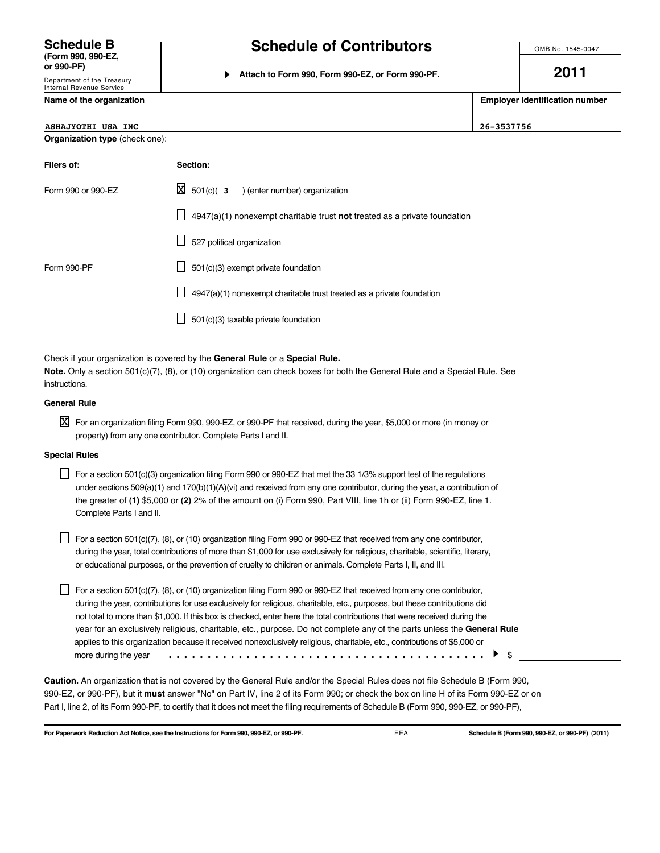# **Schedule B**

**(Form 990, 990-EZ,**

Department of the Treasury Internal Revenue Service

**Schedule of Contributors**

**or 990-PF) Attach to Form 990, Form 990-EZ, or Form 990-PF.**

OMB No. 1545-0047

**2011**

|                      | Name of the organization                                                                                                                                                                                                                                                                                                                                                                              | <b>Employer identification number</b>                                                                                                                                                                       |            |  |  |
|----------------------|-------------------------------------------------------------------------------------------------------------------------------------------------------------------------------------------------------------------------------------------------------------------------------------------------------------------------------------------------------------------------------------------------------|-------------------------------------------------------------------------------------------------------------------------------------------------------------------------------------------------------------|------------|--|--|
|                      | <b>ASHAJYOTHI USA INC</b>                                                                                                                                                                                                                                                                                                                                                                             |                                                                                                                                                                                                             | 26-3537756 |  |  |
|                      | Organization type (check one):                                                                                                                                                                                                                                                                                                                                                                        |                                                                                                                                                                                                             |            |  |  |
| Filers of:           |                                                                                                                                                                                                                                                                                                                                                                                                       | Section:                                                                                                                                                                                                    |            |  |  |
|                      | Form 990 or 990-EZ                                                                                                                                                                                                                                                                                                                                                                                    | ×<br>$501(c)$ (3<br>) (enter number) organization                                                                                                                                                           |            |  |  |
|                      |                                                                                                                                                                                                                                                                                                                                                                                                       | 4947(a)(1) nonexempt charitable trust not treated as a private foundation                                                                                                                                   |            |  |  |
|                      |                                                                                                                                                                                                                                                                                                                                                                                                       | 527 political organization                                                                                                                                                                                  |            |  |  |
| Form 990-PF          |                                                                                                                                                                                                                                                                                                                                                                                                       | 501(c)(3) exempt private foundation                                                                                                                                                                         |            |  |  |
|                      |                                                                                                                                                                                                                                                                                                                                                                                                       | 4947(a)(1) nonexempt charitable trust treated as a private foundation                                                                                                                                       |            |  |  |
|                      |                                                                                                                                                                                                                                                                                                                                                                                                       | 501(c)(3) taxable private foundation                                                                                                                                                                        |            |  |  |
|                      |                                                                                                                                                                                                                                                                                                                                                                                                       |                                                                                                                                                                                                             |            |  |  |
| instructions.        |                                                                                                                                                                                                                                                                                                                                                                                                       | Check if your organization is covered by the General Rule or a Special Rule.<br>Note. Only a section 501(c)(7), (8), or (10) organization can check boxes for both the General Rule and a Special Rule. See |            |  |  |
| <b>General Rule</b>  |                                                                                                                                                                                                                                                                                                                                                                                                       |                                                                                                                                                                                                             |            |  |  |
| X                    |                                                                                                                                                                                                                                                                                                                                                                                                       | For an organization filing Form 990, 990-EZ, or 990-PF that received, during the year, \$5,000 or more (in money or<br>property) from any one contributor. Complete Parts I and II.                         |            |  |  |
| <b>Special Rules</b> |                                                                                                                                                                                                                                                                                                                                                                                                       |                                                                                                                                                                                                             |            |  |  |
|                      | For a section 501(c)(3) organization filing Form 990 or 990-EZ that met the 33 1/3% support test of the regulations<br>under sections $509(a)(1)$ and $170(b)(1)(A)(vi)$ and received from any one contributor, during the year, a contribution of<br>the greater of (1) \$5,000 or (2) 2% of the amount on (i) Form 990, Part VIII, line 1h or (ii) Form 990-EZ, line 1.<br>Complete Parts I and II. |                                                                                                                                                                                                             |            |  |  |
|                      | For a section 501(c)(7), (8), or (10) organization filing Form 990 or 990-EZ that received from any one contributor,<br>during the year, total contributions of more than \$1,000 for use exclusively for religious, charitable, scientific, literary,<br>or educational purposes, or the prevention of cruelty to children or animals. Complete Parts I, II, and III.                                |                                                                                                                                                                                                             |            |  |  |

 $\Box$  For a section 501(c)(7), (8), or (10) organization filing Form 990 or 990-EZ that received from any one contributor, during the year, contributions for use exclusively for religious, charitable, etc., purposes, but these contributions did not total to more than \$1,000. If this box is checked, enter here the total contributions that were received during the year for an exclusively religious, charitable, etc., purpose. Do not complete any of the parts unless the **General Rule** applies to this organization because it received nonexclusively religious, charitable, etc., contributions of \$5,000 or more during the year \$ .........................................

**Caution.** An organization that is not covered by the General Rule and/or the Special Rules does not file Schedule B (Form 990, 990-EZ, or 990-PF), but it **must** answer "No" on Part IV, line 2 of its Form 990; or check the box on line H of its Form 990-EZ or on Part I, line 2, of its Form 990-PF, to certify that it does not meet the filing requirements of Schedule B (Form 990, 990-EZ, or 990-PF),

**For Paperwork Reduction Act Notice, see the Instructions for Form 990, 990-EZ, or 990-PF. Schedule B (Form 990, 990-EZ, or 990-PF) (2011)**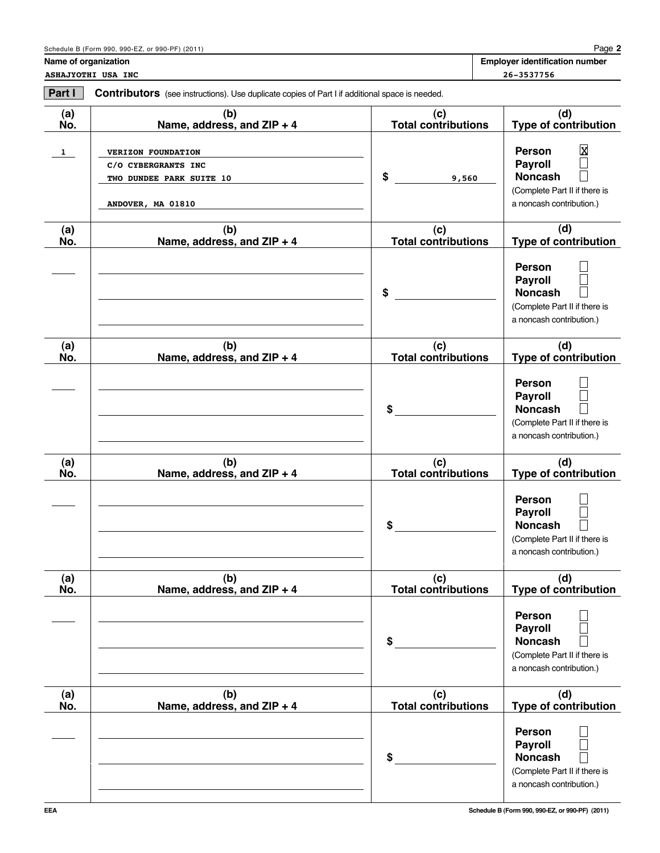**Name of organization** 

**ASHAJYOTHI USA INC 26-3537756**

| Part I       | Contributors (see instructions). Use duplicate copies of Part I if additional space is needed.    |                                   |                                                                                                                                         |
|--------------|---------------------------------------------------------------------------------------------------|-----------------------------------|-----------------------------------------------------------------------------------------------------------------------------------------|
| (a)<br>No.   | (b)<br>Name, address, and ZIP + 4                                                                 | (c)<br><b>Total contributions</b> | (d)<br><b>Type of contribution</b>                                                                                                      |
| $\mathbf{1}$ | <b>VERIZON FOUNDATION</b><br>C/O CYBERGRANTS INC<br>TWO DUNDEE PARK SUITE 10<br>ANDOVER, MA 01810 | \$<br>9,560                       | $\overline{\text{X}}$<br><b>Person</b><br><b>Payroll</b><br><b>Noncash</b><br>(Complete Part II if there is<br>a noncash contribution.) |
| (a)<br>No.   | (b)<br>Name, address, and ZIP + 4                                                                 | (c)<br><b>Total contributions</b> | (d)<br><b>Type of contribution</b>                                                                                                      |
|              |                                                                                                   | \$                                | Person<br><b>Payroll</b><br><b>Noncash</b><br>(Complete Part II if there is<br>a noncash contribution.)                                 |
| (a)<br>No.   | (b)<br>Name, address, and ZIP + 4                                                                 | (c)<br><b>Total contributions</b> | (d)<br><b>Type of contribution</b>                                                                                                      |
|              |                                                                                                   | \$                                | Person<br><b>Payroll</b><br><b>Noncash</b><br>(Complete Part II if there is<br>a noncash contribution.)                                 |
| (a)<br>No.   | (b)<br>Name, address, and ZIP + 4                                                                 | (c)<br><b>Total contributions</b> | (d)<br><b>Type of contribution</b>                                                                                                      |
|              |                                                                                                   | \$                                | <b>Person</b><br><b>Payroll</b><br><b>Noncash</b><br>(Complete Part II if there is<br>a noncash contribution.)                          |
| (a)<br>No.   | (b)<br>Name, address, and ZIP + 4                                                                 | (c)<br><b>Total contributions</b> | (d)<br><b>Type of contribution</b>                                                                                                      |
|              |                                                                                                   | \$                                | Person<br><b>Payroll</b><br><b>Noncash</b><br>(Complete Part II if there is<br>a noncash contribution.)                                 |
| (a)<br>No.   | (b)<br>Name, address, and ZIP + 4                                                                 | (c)<br>Total contributions        | (d)<br><b>Type of contribution</b>                                                                                                      |
|              |                                                                                                   | \$                                | Person<br><b>Payroll</b><br><b>Noncash</b><br>(Complete Part II if there is<br>a noncash contribution.)                                 |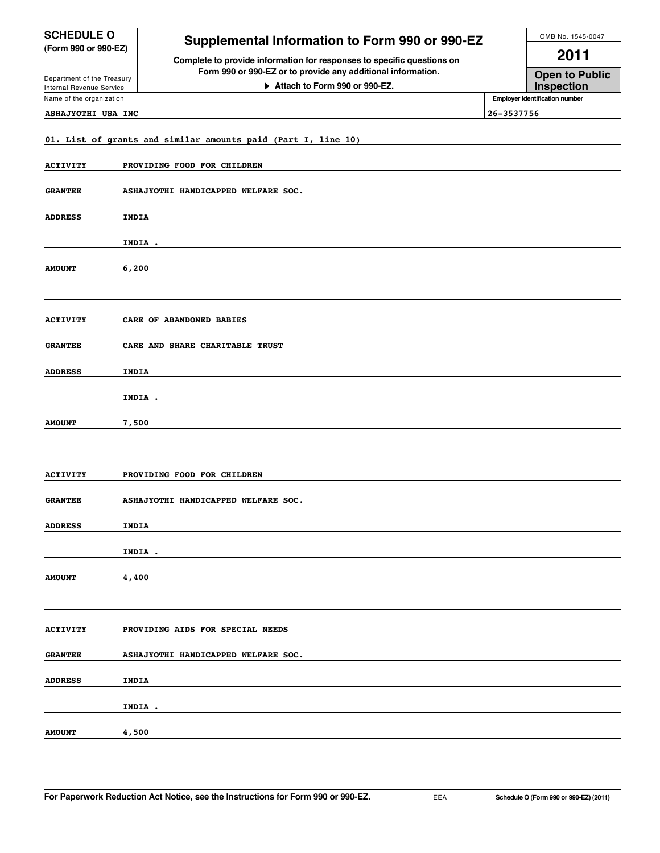| <b>SCHEDULE O</b><br>(Form 990 or 990-EZ)              | <b>Supplemental Information to Form 990 or 990-EZ</b>                                                                                  | OMB No. 1545-0047 |                                     |
|--------------------------------------------------------|----------------------------------------------------------------------------------------------------------------------------------------|-------------------|-------------------------------------|
|                                                        | Complete to provide information for responses to specific questions on<br>Form 990 or 990-EZ or to provide any additional information. | 2011              |                                     |
| Department of the Treasury<br>Internal Revenue Service | Attach to Form 990 or 990-EZ.                                                                                                          |                   | <b>Open to Public</b><br>Inspection |
| Name of the organization                               |                                                                                                                                        |                   | Employer identification number      |
| <b>ASHAJYOTHI USA INC</b>                              |                                                                                                                                        | 26-3537756        |                                     |
|                                                        | 01. List of grants and similar amounts paid (Part I, line 10)                                                                          |                   |                                     |
| <b>ACTIVITY</b>                                        | PROVIDING FOOD FOR CHILDREN                                                                                                            |                   |                                     |
| <b>GRANTEE</b>                                         | ASHAJYOTHI HANDICAPPED WELFARE SOC.                                                                                                    |                   |                                     |
| <b>ADDRESS</b>                                         | <b>INDIA</b>                                                                                                                           |                   |                                     |
|                                                        | INDIA .                                                                                                                                |                   |                                     |
| <b>AMOUNT</b>                                          | 6,200                                                                                                                                  |                   |                                     |
|                                                        |                                                                                                                                        |                   |                                     |
| <b>ACTIVITY</b>                                        | CARE OF ABANDONED BABIES                                                                                                               |                   |                                     |
| <b>GRANTEE</b>                                         | CARE AND SHARE CHARITABLE TRUST                                                                                                        |                   |                                     |
| <b>ADDRESS</b>                                         | <b>INDIA</b>                                                                                                                           |                   |                                     |
|                                                        | INDIA .                                                                                                                                |                   |                                     |
| <b>AMOUNT</b>                                          | 7,500                                                                                                                                  |                   |                                     |
|                                                        |                                                                                                                                        |                   |                                     |
| <b>ACTIVITY</b>                                        | PROVIDING FOOD FOR CHILDREN                                                                                                            |                   |                                     |
| <b>GRANTEE</b>                                         | ASHAJYOTHI HANDICAPPED WELFARE SOC.                                                                                                    |                   |                                     |
| <b>ADDRESS</b>                                         | INDIA                                                                                                                                  |                   |                                     |
|                                                        | INDIA .                                                                                                                                |                   |                                     |
| <b>AMOUNT</b>                                          | 4,400                                                                                                                                  |                   |                                     |
|                                                        |                                                                                                                                        |                   |                                     |
| <b>ACTIVITY</b>                                        | PROVIDING AIDS FOR SPECIAL NEEDS                                                                                                       |                   |                                     |
|                                                        |                                                                                                                                        |                   |                                     |

| <b>GRANTEE</b> | ASHAJYOTHI HANDICAPPED WELFARE SOC. |
|----------------|-------------------------------------|
|                |                                     |
| <b>ADDRESS</b> | INDIA                               |
|                |                                     |
|                | INDIA .                             |
|                |                                     |
| <b>AMOUNT</b>  | 4,500                               |
|                |                                     |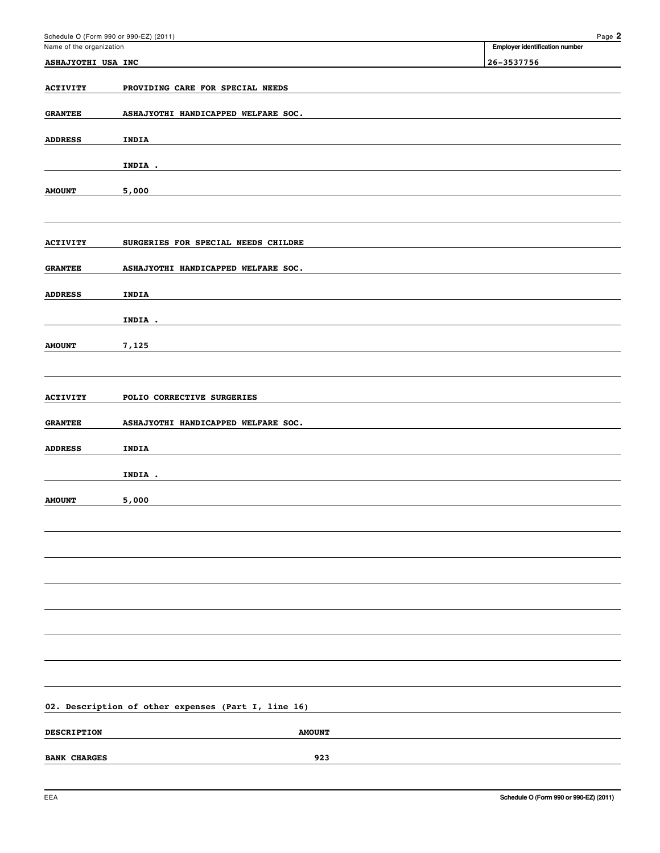| Schedule O (Form 990 or 990-EZ) (2011) |                                                     | Page 2                         |
|----------------------------------------|-----------------------------------------------------|--------------------------------|
| Name of the organization               |                                                     | Employer identification number |
| ASHAJYOTHI USA INC                     |                                                     | 26-3537756                     |
| <b>ACTIVITY</b>                        | PROVIDING CARE FOR SPECIAL NEEDS                    |                                |
| <b>GRANTEE</b>                         | ASHAJYOTHI HANDICAPPED WELFARE SOC.                 |                                |
|                                        |                                                     |                                |
| <b>ADDRESS</b>                         | INDIA                                               |                                |
|                                        | INDIA .                                             |                                |
|                                        |                                                     |                                |
| <b>AMOUNT</b>                          | 5,000                                               |                                |
|                                        |                                                     |                                |
| <b>ACTIVITY</b>                        | SURGERIES FOR SPECIAL NEEDS CHILDRE                 |                                |
|                                        |                                                     |                                |
| <b>GRANTEE</b>                         | ASHAJYOTHI HANDICAPPED WELFARE SOC.                 |                                |
| <b>ADDRESS</b>                         | INDIA                                               |                                |
|                                        |                                                     |                                |
|                                        | INDIA .                                             |                                |
| <b>AMOUNT</b>                          | 7,125                                               |                                |
|                                        |                                                     |                                |
|                                        |                                                     |                                |
| <b>ACTIVITY</b>                        | POLIO CORRECTIVE SURGERIES                          |                                |
| <b>GRANTEE</b>                         | ASHAJYOTHI HANDICAPPED WELFARE SOC.                 |                                |
| <b>ADDRESS</b>                         | INDIA                                               |                                |
|                                        |                                                     |                                |
|                                        | INDIA .                                             |                                |
| <b>AMOUNT</b>                          | 5,000                                               |                                |
|                                        |                                                     |                                |
|                                        |                                                     |                                |
|                                        |                                                     |                                |
|                                        |                                                     |                                |
|                                        |                                                     |                                |
|                                        |                                                     |                                |
|                                        |                                                     |                                |
|                                        |                                                     |                                |
|                                        |                                                     |                                |
|                                        |                                                     |                                |
|                                        | 02. Description of other expenses (Part I, line 16) |                                |
|                                        |                                                     |                                |
| <b>DESCRIPTION</b>                     | <b>AMOUNT</b>                                       |                                |
| <b>BANK CHARGES</b>                    | 923                                                 |                                |
|                                        |                                                     |                                |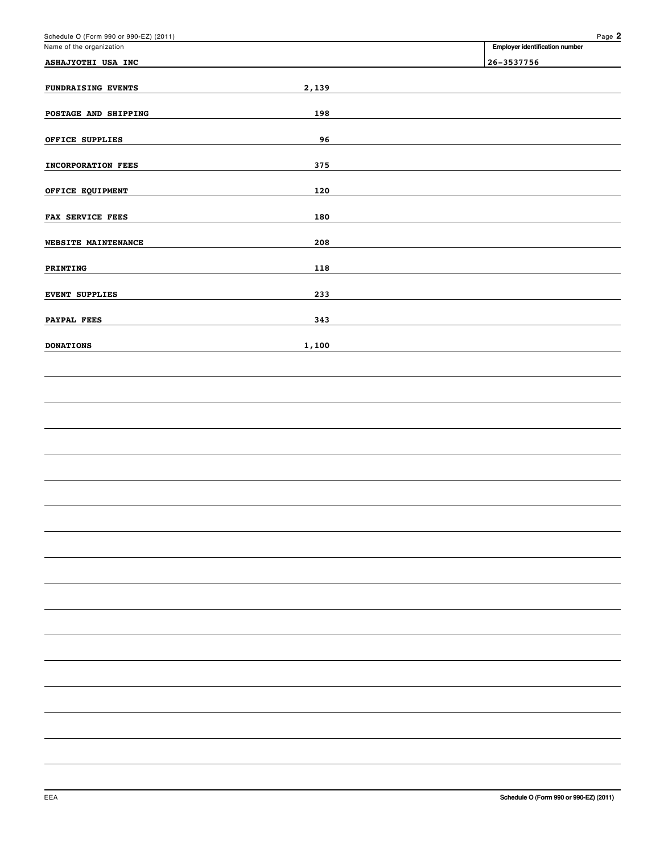| Schedule O (Form 990 or 990-EZ) (2011) |       | Page 2                         |
|----------------------------------------|-------|--------------------------------|
| Name of the organization               |       | Employer identification number |
| ASHAJYOTHI USA INC                     |       | 26-3537756                     |
| <b>FUNDRAISING EVENTS</b>              | 2,139 |                                |
| POSTAGE AND SHIPPING                   | 198   |                                |
| OFFICE SUPPLIES                        | 96    |                                |
| <b>INCORPORATION FEES</b>              | 375   |                                |
| OFFICE EQUIPMENT                       | 120   |                                |
| FAX SERVICE FEES                       | 180   |                                |
| WEBSITE MAINTENANCE                    | 208   |                                |
| PRINTING                               | 118   |                                |
| <b>EVENT SUPPLIES</b>                  | 233   |                                |
| PAYPAL FEES                            | 343   |                                |
| <b>DONATIONS</b>                       | 1,100 |                                |
|                                        |       |                                |
|                                        |       |                                |
|                                        |       |                                |
|                                        |       |                                |
|                                        |       |                                |
|                                        |       |                                |
|                                        |       |                                |
|                                        |       |                                |
|                                        |       |                                |
|                                        |       |                                |
|                                        |       |                                |
|                                        |       |                                |
|                                        |       |                                |
|                                        |       |                                |
|                                        |       |                                |
|                                        |       |                                |
|                                        |       |                                |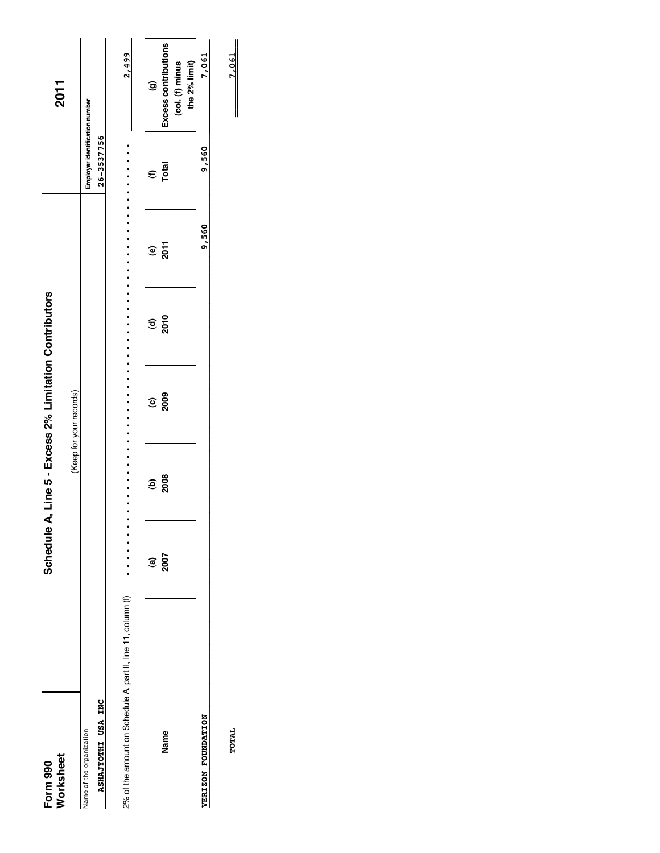| Form 990                                                     | Schedule               |            | A, Line 5 - Excess 2% Limitation Contributors |             |              |                                | 2011                                      |
|--------------------------------------------------------------|------------------------|------------|-----------------------------------------------|-------------|--------------|--------------------------------|-------------------------------------------|
| Worksheet                                                    |                        |            | (Keep for your records)                       |             |              |                                |                                           |
| Name of the organization                                     |                        |            |                                               |             |              | Employer identification number |                                           |
| ASHAJYOTHI USA INC                                           |                        |            |                                               |             |              | 26-3537756                     |                                           |
| 2% of the amount on Schedule A, part II, line 11, column (f) |                        |            |                                               |             |              |                                | 2,499                                     |
|                                                              | $\widehat{\mathbf{e}}$ | <u>ອັສ</u> | <u>့</u> နွ                                   | <u>ទ</u> ទី | $\mathbf{e}$ | $\mathbf{\epsilon}$            | $\widehat{\mathbf{e}}$                    |
| <b>Name</b>                                                  | 2007                   |            |                                               |             | 2011         | Total                          | Excess contributions<br>$(col. (f)$ minus |
| VERIZON FOUNDATION                                           |                        |            |                                               |             | 9,560        | 9,560                          | 7,061<br>the 2% limit)                    |
|                                                              |                        |            |                                               |             |              |                                |                                           |

TOTAL

 $-7,061$ \_\_\_\_\_\_\_\_\_\_  $\overline{\phantom{a}}$ **TOTAL 7,061**